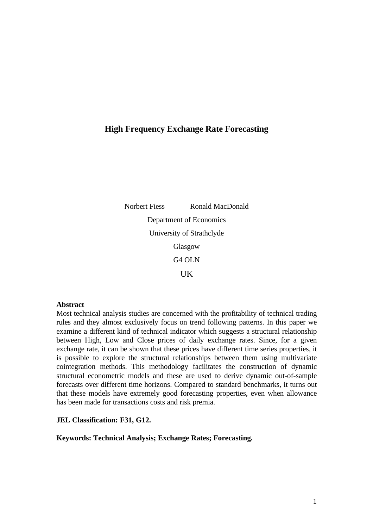# **High Frequency Exchange Rate Forecasting**

Norbert Fiess Ronald MacDonald Department of Economics University of Strathclyde Glasgow G4 OLN UK

### **Abstract**

Most technical analysis studies are concerned with the profitability of technical trading rules and they almost exclusively focus on trend following patterns. In this paper we examine a different kind of technical indicator which suggests a structural relationship between High, Low and Close prices of daily exchange rates. Since, for a given exchange rate, it can be shown that these prices have different time series properties, it is possible to explore the structural relationships between them using multivariate cointegration methods. This methodology facilitates the construction of dynamic structural econometric models and these are used to derive dynamic out-of-sample forecasts over different time horizons. Compared to standard benchmarks, it turns out that these models have extremely good forecasting properties, even when allowance has been made for transactions costs and risk premia.

### **JEL Classification: F31, G12.**

### **Keywords: Technical Analysis; Exchange Rates; Forecasting.**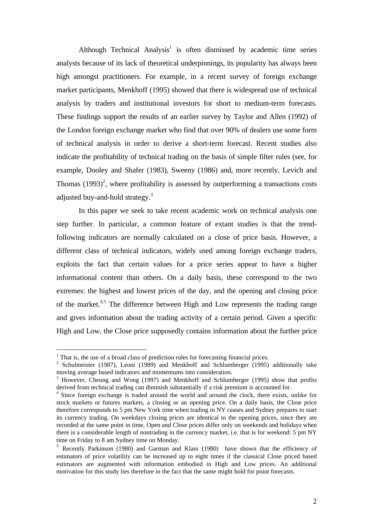Although Technical Analysis<sup>1</sup> is often dismissed by academic time series analysts because of its lack of theoretical underpinnings, its popularity has always been high amongst practitioners. For example, in a recent survey of foreign exchange market participants, Menkhoff (1995) showed that there is widespread use of technical analysis by traders and institutional investors for short to medium-term forecasts. These findings support the results of an earlier survey by Taylor and Allen (1992) of the London foreign exchange market who find that over 90% of dealers use some form of technical analysis in order to derive a short-term forecast. Recent studies also indicate the profitability of technical trading on the basis of simple filter rules (see, for example, Dooley and Shafer (1983), Sweeny (1986) and, more recently, Levich and Thomas  $(1993)^2$ , where profitability is assessed by outperforming a transactions costs adjusted buy-and-hold strategy.<sup>3</sup>

In this paper we seek to take recent academic work on technical analysis one step further. In particular, a common feature of extant studies is that the trendfollowing indicators are normally calculated on a close of price basis. However, a different class of technical indicators, widely used among foreign exchange traders, exploits the fact that certain values for a price series appear to have a higher informational content than others. On a daily basis, these correspond to the two extremes: the highest and lowest prices of the day, and the opening and closing price of the market.<sup>4,5</sup> The difference between High and Low represents the trading range and gives information about the trading activity of a certain period. Given a specific High and Low, the Close price supposedly contains information about the further price

<sup>&</sup>lt;sup>1</sup> That is, the use of a broad class of prediction rules for forecasting financial prices.

<sup>&</sup>lt;sup>2</sup> Schulmeister (1987), Leoni (1989) and Menkhoff and Schlumberger (1995) additionally take moving average based indicators and momentums into consideration.

<sup>&</sup>lt;sup>3</sup> However, Cheung and Wong (1997) and Menkhoff and Schlumberger (1995) show that profits derived from technical trading can diminish substantially if a risk premium is accounted for.

<sup>&</sup>lt;sup>4</sup> Since foreign exchange is traded around the world and around the clock, there exists, unlike for stock markets or futures markets, a closing or an opening price. On a daily basis, the Close price therefore corresponds to 5 pm New York time when trading in NY ceases and Sydney prepares to start its currency trading. On weekdays closing prices are identical to the opening prices, since they are recorded at the same point in time, Open and Close prices differ only on weekends and holidays when there is a considerable length of nontrading in the currency market, i.e. that is for weekend: 5 pm NY time on Friday to 8 am Sydney time on Monday.

<sup>5</sup> Recently Parkinson (1980) and Garman and Klass (1980) have shown that the efficiency of estimators of price volatility can be increased up to eight times if the classical Close priced based estimators are augmented with information embodied in High and Low prices. An additional motivation for this study lies therefore in the fact that the same might hold for point forecasts.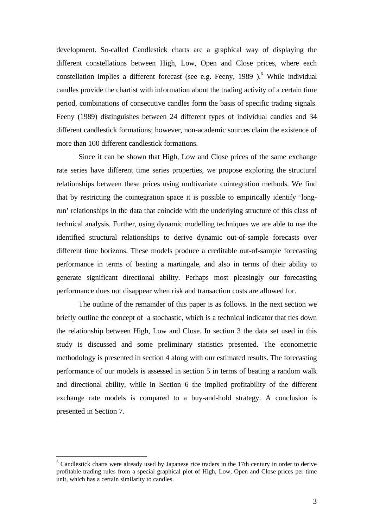development. So-called Candlestick charts are a graphical way of displaying the different constellations between High, Low, Open and Close prices, where each constellation implies a different forecast (see e.g. Feeny, 1989 ).<sup>6</sup> While individual candles provide the chartist with information about the trading activity of a certain time period, combinations of consecutive candles form the basis of specific trading signals. Feeny (1989) distinguishes between 24 different types of individual candles and 34 different candlestick formations; however, non-academic sources claim the existence of more than 100 different candlestick formations.

Since it can be shown that High, Low and Close prices of the same exchange rate series have different time series properties, we propose exploring the structural relationships between these prices using multivariate cointegration methods. We find that by restricting the cointegration space it is possible to empirically identify 'longrun' relationships in the data that coincide with the underlying structure of this class of technical analysis. Further, using dynamic modelling techniques we are able to use the identified structural relationships to derive dynamic out-of-sample forecasts over different time horizons. These models produce a creditable out-of-sample forecasting performance in terms of beating a martingale, and also in terms of their ability to generate significant directional ability. Perhaps most pleasingly our forecasting performance does not disappear when risk and transaction costs are allowed for.

The outline of the remainder of this paper is as follows. In the next section we briefly outline the concept of a stochastic, which is a technical indicator that ties down the relationship between High, Low and Close. In section 3 the data set used in this study is discussed and some preliminary statistics presented. The econometric methodology is presented in section 4 along with our estimated results. The forecasting performance of our models is assessed in section 5 in terms of beating a random walk and directional ability, while in Section 6 the implied profitability of the different exchange rate models is compared to a buy-and-hold strategy. A conclusion is presented in Section 7.

<sup>&</sup>lt;sup>6</sup> Candlestick charts were already used by Japanese rice traders in the 17th century in order to derive profitable trading rules from a special graphical plot of High, Low, Open and Close prices per time unit, which has a certain similarity to candles.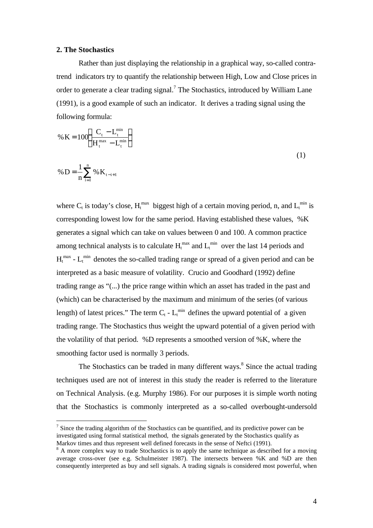### **2. The Stochastics**

Rather than just displaying the relationship in a graphical way, so-called contratrend indicators try to quantify the relationship between High, Low and Close prices in order to generate a clear trading signal.<sup>7</sup> The Stochastics, introduced by William Lane (1991), is a good example of such an indicator. It derives a trading signal using the following formula:

% K = 
$$
100 \left( \frac{C_t - L_t^{\min}}{H_t^{\max} - L_t^{\min}} \right)
$$
  
\n% D =  $\frac{1}{n} \sum_{i=1}^{n} % K_{t-i+1}$  (1)

where C<sub>t</sub> is today's close,  $H_t^{max}$  biggest high of a certain moving period, n, and  $L_t^{min}$  is corresponding lowest low for the same period. Having established these values, %K generates a signal which can take on values between 0 and 100. A common practice among technical analysts is to calculate  $H_t^{\text{max}}$  and  $L_t^{\text{min}}$  over the last 14 periods and  $H_t^{\text{max}}$  -  $L_t^{\text{min}}$  denotes the so-called trading range or spread of a given period and can be interpreted as a basic measure of volatility. Crucio and Goodhard (1992) define trading range as "(...) the price range within which an asset has traded in the past and (which) can be characterised by the maximum and minimum of the series (of various length) of latest prices." The term  $C_t$  -  $L_t^{\min}$  defines the upward potential of a given trading range. The Stochastics thus weight the upward potential of a given period with the volatility of that period. %D represents a smoothed version of %K, where the smoothing factor used is normally 3 periods.

The Stochastics can be traded in many different ways.<sup>8</sup> Since the actual trading techniques used are not of interest in this study the reader is referred to the literature on Technical Analysis. (e.g. Murphy 1986). For our purposes it is simple worth noting that the Stochastics is commonly interpreted as a so-called overbought-undersold

<sup>&</sup>lt;sup>7</sup> Since the trading algorithm of the Stochastics can be quantified, and its predictive power can be investigated using formal statistical method, the signals generated by the Stochastics qualify as Markov times and thus represent well defined forecasts in the sense of Neftci (1991).

<sup>&</sup>lt;sup>8</sup> A more complex way to trade Stochastics is to apply the same technique as described for a moving average cross-over (see e.g. Schulmeister 1987). The intersects between %K and %D are then consequently interpreted as buy and sell signals. A trading signals is considered most powerful, when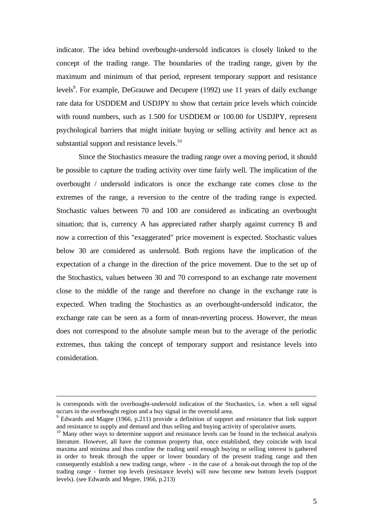indicator. The idea behind overbought-undersold indicators is closely linked to the concept of the trading range. The boundaries of the trading range, given by the maximum and minimum of that period, represent temporary support and resistance levels<sup>9</sup>. For example, DeGrauwe and Decupere (1992) use 11 years of daily exchange rate data for USDDEM and USDJPY to show that certain price levels which coincide with round numbers, such as 1.500 for USDDEM or 100.00 for USDJPY, represent psychological barriers that might initiate buying or selling activity and hence act as substantial support and resistance levels.<sup>10</sup>

Since the Stochastics measure the trading range over a moving period, it should be possible to capture the trading activity over time fairly well. The implication of the overbought / undersold indicators is once the exchange rate comes close to the extremes of the range, a reversion to the centre of the trading range is expected. Stochastic values between 70 and 100 are considered as indicating an overbought situation; that is, currency A has appreciated rather sharply against currency B and now a correction of this "exaggerated" price movement is expected. Stochastic values below 30 are considered as undersold. Both regions have the implication of the expectation of a change in the direction of the price movement. Due to the set up of the Stochastics, values between 30 and 70 correspond to an exchange rate movement close to the middle of the range and therefore no change in the exchange rate is expected. When trading the Stochastics as an overbought-undersold indicator, the exchange rate can be seen as a form of mean-reverting process. However, the mean does not correspond to the absolute sample mean but to the average of the periodic extremes, thus taking the concept of temporary support and resistance levels into consideration.

is corresponds with the overbought-undersold indication of the Stochastics, i.e. when a sell signal occurs in the overbought region and a buy signal in the oversold area.

<sup>&</sup>lt;sup>9</sup> Edwards and Magee (1966, p.211) provide a definition of support and resistance that link support and resistance to supply and demand and thus selling and buying activity of speculative assets.

 $10$  Many other ways to determine support and resistance levels can be found in the technical analysis literature. However, all have the common property that, once established, they coincide with local maxima and minima and thus confine the trading until enough buying or selling interest is gathered in order to break through the upper or lower boundary of the present trading range and then consequently establish a new trading range, where - in the case of a break-out through the top of the trading range - former top levels (resistance levels) will now become new bottom levels (support levels). (see Edwards and Megee, 1966, p.213)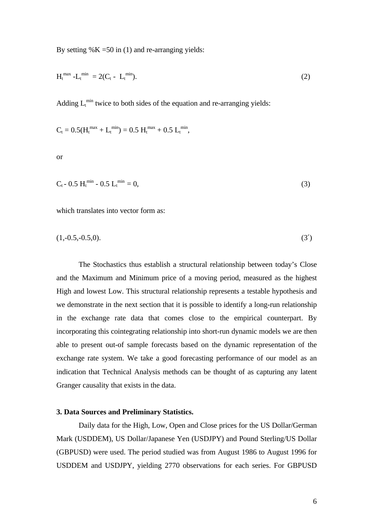By setting  $%K = 50$  in (1) and re-arranging yields:

$$
H_t^{\max} - L_t^{\min} = 2(C_t - L_t^{\min}). \tag{2}
$$

Adding  $L_t^{\min}$  twice to both sides of the equation and re-arranging yields:

$$
C_t = 0.5(H_t^{\max} + L_t^{\min}) = 0.5 H_t^{\max} + 0.5 L_t^{\min},
$$

or

$$
C_t - 0.5 H_t^{\min} - 0.5 L_t^{\min} = 0,
$$
\n(3)

which translates into vector form as:

$$
(1,-0.5,-0.5,0). \t\t(3')
$$

The Stochastics thus establish a structural relationship between today's Close and the Maximum and Minimum price of a moving period, measured as the highest High and lowest Low. This structural relationship represents a testable hypothesis and we demonstrate in the next section that it is possible to identify a long-run relationship in the exchange rate data that comes close to the empirical counterpart. By incorporating this cointegrating relationship into short-run dynamic models we are then able to present out-of sample forecasts based on the dynamic representation of the exchange rate system. We take a good forecasting performance of our model as an indication that Technical Analysis methods can be thought of as capturing any latent Granger causality that exists in the data.

### **3. Data Sources and Preliminary Statistics.**

Daily data for the High, Low, Open and Close prices for the US Dollar/German Mark (USDDEM), US Dollar/Japanese Yen (USDJPY) and Pound Sterling/US Dollar (GBPUSD) were used. The period studied was from August 1986 to August 1996 for USDDEM and USDJPY, yielding 2770 observations for each series. For GBPUSD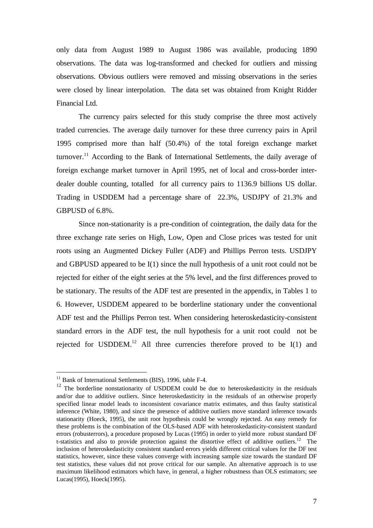only data from August 1989 to August 1986 was available, producing 1890 observations. The data was log-transformed and checked for outliers and missing observations. Obvious outliers were removed and missing observations in the series were closed by linear interpolation. The data set was obtained from Knight Ridder Financial Ltd.

The currency pairs selected for this study comprise the three most actively traded currencies. The average daily turnover for these three currency pairs in April 1995 comprised more than half (50.4%) of the total foreign exchange market turnover.<sup>11</sup> According to the Bank of International Settlements, the daily average of foreign exchange market turnover in April 1995, net of local and cross-border interdealer double counting, totalled for all currency pairs to 1136.9 billions US dollar. Trading in USDDEM had a percentage share of 22.3%, USDJPY of 21.3% and GBPUSD of 6.8%.

Since non-stationarity is a pre-condition of cointegration, the daily data for the three exchange rate series on High, Low, Open and Close prices was tested for unit roots using an Augmented Dickey Fuller (ADF) and Phillips Perron tests. USDJPY and GBPUSD appeared to be I(1) since the null hypothesis of a unit root could not be rejected for either of the eight series at the 5% level, and the first differences proved to be stationary. The results of the ADF test are presented in the appendix, in Tables 1 to 6. However, USDDEM appeared to be borderline stationary under the conventional ADF test and the Phillips Perron test. When considering heteroskedasticity-consistent standard errors in the ADF test, the null hypothesis for a unit root could not be rejected for USDDEM.<sup>12</sup> All three currencies therefore proved to be  $I(1)$  and

<sup>&</sup>lt;sup>11</sup> Bank of International Settlements (BIS), 1996, table F-4.

<sup>&</sup>lt;sup>12</sup> The borderline nonstationarity of USDDEM could be due to heteroskedasticity in the residuals and/or due to additive outliers. Since heteroskedasticity in the residuals of an otherwise properly specified linear model leads to inconsistent covariance matrix estimates, and thus faulty statistical inference (White, 1980), and since the presence of additive outliers move standard inference towards stationarity (Hoeck, 1995), the unit root hypothesis could be wrongly rejected. An easy remedy for these problems is the combination of the OLS-based ADF with heteroskedasticity-consistent standard errors (robusterrors), a procedure proposed by Lucas (1995) in order to yield more robust standard DF t-statistics and also to provide protection against the distortive effect of additive outliers.<sup>12</sup> The inclusion of heteroskedasticity consistent standard errors yields different critical values for the DF test statistics, however, since these values converge with increasing sample size towards the standard DF test statistics, these values did not prove critical for our sample. An alternative approach is to use maximum likelihood estimators which have, in general, a higher robustness than OLS estimators; see Lucas(1995), Hoeck(1995).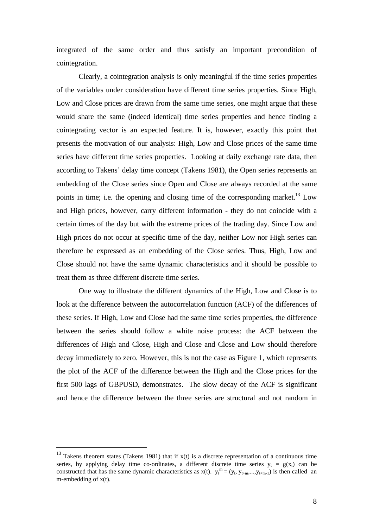integrated of the same order and thus satisfy an important precondition of cointegration.

Clearly, a cointegration analysis is only meaningful if the time series properties of the variables under consideration have different time series properties. Since High, Low and Close prices are drawn from the same time series, one might argue that these would share the same (indeed identical) time series properties and hence finding a cointegrating vector is an expected feature. It is, however, exactly this point that presents the motivation of our analysis: High, Low and Close prices of the same time series have different time series properties. Looking at daily exchange rate data, then according to Takens' delay time concept (Takens 1981), the Open series represents an embedding of the Close series since Open and Close are always recorded at the same points in time; i.e. the opening and closing time of the corresponding market.<sup>13</sup> Low and High prices, however, carry different information - they do not coincide with a certain times of the day but with the extreme prices of the trading day. Since Low and High prices do not occur at specific time of the day, neither Low nor High series can therefore be expressed as an embedding of the Close series. Thus, High, Low and Close should not have the same dynamic characteristics and it should be possible to treat them as three different discrete time series.

One way to illustrate the different dynamics of the High, Low and Close is to look at the difference between the autocorrelation function (ACF) of the differences of these series. If High, Low and Close had the same time series properties, the difference between the series should follow a white noise process: the ACF between the differences of High and Close, High and Close and Close and Low should therefore decay immediately to zero. However, this is not the case as Figure 1, which represents the plot of the ACF of the difference between the High and the Close prices for the first 500 lags of GBPUSD, demonstrates. The slow decay of the ACF is significant and hence the difference between the three series are structural and not random in

<sup>&</sup>lt;sup>13</sup> Takens theorem states (Takens 1981) that if  $x(t)$  is a discrete representation of a continuous time series, by applying delay time co-ordinates, a different discrete time series  $y_t = g(x_t)$  can be constructed that has the same dynamic characteristics as  $x(t)$ .  $y_t^m = (y_t, y_{t+m},...,y_{t+m-1})$  is then called an m-embedding of x(t).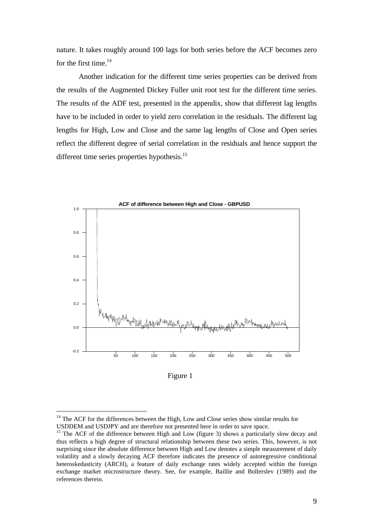nature. It takes roughly around 100 lags for both series before the ACF becomes zero for the first time. $14$ 

Another indication for the different time series properties can be derived from the results of the Augmented Dickey Fuller unit root test for the different time series. The results of the ADF test, presented in the appendix, show that different lag lengths have to be included in order to yield zero correlation in the residuals. The different lag lengths for High, Low and Close and the same lag lengths of Close and Open series reflect the different degree of serial correlation in the residuals and hence support the different time series properties hypothesis.<sup>15</sup>



Figure 1

 $14$  The ACF for the differences between the High, Low and Close series show similar results for USDDEM and USDJPY and are therefore not presented here in order to save space.

<sup>&</sup>lt;sup>15</sup> The ACF of the difference between High and Low (figure 3) shows a particularly slow decay and thus reflects a high degree of structural relationship between these two series. This, however, is not surprising since the absolute difference between High and Low denotes a simple measurement of daily volatility and a slowly decaying ACF therefore indicates the presence of autoregressive conditional heteroskedasticity (ARCH), a feature of daily exchange rates widely accepted within the foreign exchange market microstructure theory. See, for example, Baillie and Bollerslev (1989) and the references therein.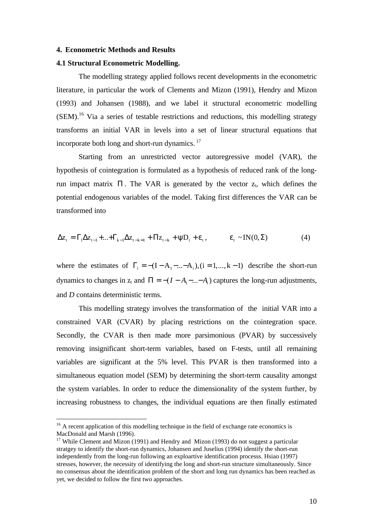### **4. Econometric Methods and Results**

### **4.1 Structural Econometric Modelling.**

The modelling strategy applied follows recent developments in the econometric literature, in particular the work of Clements and Mizon (1991), Hendry and Mizon (1993) and Johansen (1988), and we label it structural econometric modelling (SEM).<sup>16</sup> Via a series of testable restrictions and reductions, this modelling strategy transforms an initial VAR in levels into a set of linear structural equations that incorporate both long and short-run dynamics.<sup>17</sup>

Starting from an unrestricted vector autoregressive model (VAR), the hypothesis of cointegration is formulated as a hypothesis of reduced rank of the longrun impact matrix Π. The VAR is generated by the vector  $z_t$ , which defines the potential endogenous variables of the model. Taking first differences the VAR can be transformed into

$$
\Delta z_{t} = \Gamma_{1} \Delta z_{t-1} + \ldots + \Gamma_{k-1} \Delta z_{t-k-1} + \Pi z_{t-k} + \psi D_{t} + \varepsilon_{t}, \qquad \varepsilon_{t} \sim IN(0, \Sigma) \tag{4}
$$

where the estimates of  $\Gamma_i = -(I - A_1 - ... - A_i), (i = 1, ..., k - 1)$  describe the short-run dynamics to changes in  $z_t$  and  $\Pi = -(I - A_1 - ... - A_i)$  captures the long-run adjustments, and *D* contains deterministic terms.

This modelling strategy involves the transformation of the initial VAR into a constrained VAR (CVAR) by placing restrictions on the cointegration space. Secondly, the CVAR is then made more parsimonious (PVAR) by successively removing insignificant short-term variables, based on F-tests, until all remaining variables are significant at the 5% level. This PVAR is then transformed into a simultaneous equation model (SEM) by determining the short-term causality amongst the system variables. In order to reduce the dimensionality of the system further, by increasing robustness to changes, the individual equations are then finally estimated

 $16$  A recent application of this modelling technique in the field of exchange rate economics is MacDonald and Marsh (1996).

<sup>&</sup>lt;sup>17</sup> While Clement and Mizon (1991) and Hendry and Mizon (1993) do not suggest a particular stratgey to identify the short-run dynamics, Johansen and Juselius (1994) identify the short-run independently from the long-run following an exploartive identification processs. Hsiao (1997) stresses, however, the necessity of identifying the long and short-run structure simultaneously. Since no consensus about the identification problem of the short and long run dynamics has been reached as yet, we decided to follow the first two approaches.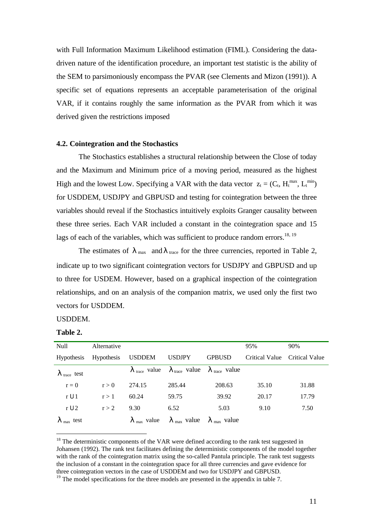with Full Information Maximum Likelihood estimation (FIML). Considering the datadriven nature of the identification procedure, an important test statistic is the ability of the SEM to parsimoniously encompass the PVAR (see Clements and Mizon (1991)). A specific set of equations represents an acceptable parameterisation of the original VAR, if it contains roughly the same information as the PVAR from which it was derived given the restrictions imposed

### **4.2. Cointegration and the Stochastics**

The Stochastics establishes a structural relationship between the Close of today and the Maximum and Minimum price of a moving period, measured as the highest High and the lowest Low. Specifying a VAR with the data vector  $z_t = (C_t, H_t^{max}, L_t^{min})$ for USDDEM, USDJPY and GBPUSD and testing for cointegration between the three variables should reveal if the Stochastics intuitively exploits Granger causality between these three series. Each VAR included a constant in the cointegration space and 15 lags of each of the variables, which was sufficient to produce random errors.<sup>18, 19</sup>

The estimates of  $\lambda_{\text{max}}$  and  $\lambda_{\text{trace}}$  for the three currencies, reported in Table 2, indicate up to two significant cointegration vectors for USDJPY and GBPUSD and up to three for USDEM. However, based on a graphical inspection of the cointegration relationships, and on an analysis of the companion matrix, we used only the first two vectors for USDDEM.

### USDDEM.

| `able | ۰. |
|-------|----|
|-------|----|

| Null                            | Alternative |                                |                                                                                              |               | 95%            | 90%            |
|---------------------------------|-------------|--------------------------------|----------------------------------------------------------------------------------------------|---------------|----------------|----------------|
| <b>Hypothesis</b>               | Hypothesis  | USDDEM                         | <b>USDJPY</b>                                                                                | <b>GPBUSD</b> | Critical Value | Critical Value |
| $\lambda$ <sub>trace</sub> test |             |                                | $\lambda_{\text{trace}}$ value $\lambda_{\text{trace}}$ value $\lambda_{\text{trace}}$ value |               |                |                |
| $r = 0$                         | r > 0       | 274.15                         | 285.44                                                                                       | 208.63        | 35.10          | 31.88          |
| $r \boldsymbol{\delta} 1$       | r > 1       | 60.24                          | 59.75                                                                                        | 39.92         | 20.17          | 17.79          |
| $r \, \mathbf{6} \, 2$          | r > 2       | 9.30                           | 6.52                                                                                         | 5.03          | 9.10           | 7.50           |
| $\lambda$ <sub>max</sub> test   |             | $\lambda$ <sub>max</sub> value | $\lambda_{\text{max}}$ value $\lambda_{\text{max}}$ value                                    |               |                |                |

 $18$  The deterministic components of the VAR were defined according to the rank test suggested in Johansen (1992). The rank test facilitates defining the deterministic components of the model together with the rank of the cointegration matrix using the so-called Pantula principle. The rank test suggests the inclusion of a constant in the cointegration space for all three currencies and gave evidence for three cointegration vectors in the case of USDDEM and two for USDJPY and GBPUSD.

<sup>&</sup>lt;sup>19</sup> The model specifications for the three models are presented in the appendix in table 7.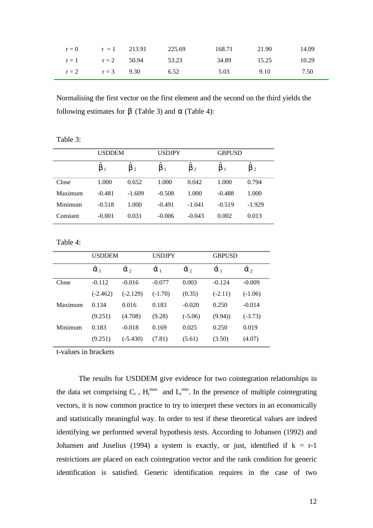|                      | $r = 0$ $r = 1$ 213.91 |                       | 225.69 | 168.71 | 21.90 | 14.09 |
|----------------------|------------------------|-----------------------|--------|--------|-------|-------|
|                      |                        | $r = 1$ $r = 2$ 50.94 | 53.23  | 34.89  | 15.25 | 10.29 |
| $r = 2$ $r = 3$ 9.30 |                        |                       | 6.52   | 5.03   | 9.10  | 7.50  |

Normalising the first vector on the first element and the second on the third yields the following estimates for β (Table 3) and *a* (Table 4):

|  | Table 3 |  |  |  |
|--|---------|--|--|--|
|--|---------|--|--|--|

|          | <b>USDDEM</b>  |           | <b>USDJPY</b> |                        | <b>GBPUSD</b> |           |
|----------|----------------|-----------|---------------|------------------------|---------------|-----------|
|          | $\mathbf{p}_1$ | $\beta_2$ | $\beta_1$     | $\lambda$<br>$\beta_2$ | $\beta_1$     | $\beta_2$ |
| Close    | 1.000          | 0.652     | 1.000         | 0.042                  | 1.000         | 0.794     |
| Maximum  | $-0.481$       | $-1.609$  | $-0.508$      | 1.000                  | $-0.488$      | 1.000     |
| Minimum  | $-0.518$       | 1.000     | $-0.491$      | $-1.041$               | $-0.519$      | $-1.929$  |
| Constant | $-0.001$       | 0.031     | $-0.006$      | $-0.043$               | 0.002         | 0.013     |

Table 4:

|         | <b>USDDEM</b> |                  | <b>USDJPY</b> |                  | <b>GBPUSD</b> |                  |
|---------|---------------|------------------|---------------|------------------|---------------|------------------|
|         | $\alpha_1$    | $\hat{\alpha}_2$ | $\alpha_1$    | $\hat{\alpha}_2$ | $\alpha_1$    | $\hat{\alpha}_2$ |
| Close   | $-0.112$      | $-0.016$         | $-0.077$      | 0.003            | $-0.124$      | $-0.009$         |
|         | (-2.462)      | $(-2.129)$       | $(-1.70)$     | (0.35)           | $(-2.11)$     | $(-1.06)$        |
| Maximum | 0.134         | 0.016            | 0.183         | $-0.020$         | 0.250         | $-0.014$         |
|         | (9.251)       | (4.708)          | (9.28)        | $(-5.06)$        | (9.94)        | $(-3.73)$        |
| Minimum | 0.183         | $-0.018$         | 0.169         | 0.025            | 0.250         | 0.019            |
|         | (9.251)       | $(-5.430)$       | (7.81)        | (5.61)           | (3.50)        | (4.07)           |

t-values in brackets

The results for USDDEM give evidence for two cointegration relationships in the data set comprising  $C_t$ ,  $H_t^{max}$  and  $L_t^{min}$ . In the presence of multiple cointegrating vectors, it is now common practice to try to interpret these vectors in an economically and statistically meaningful way. In order to test if these theoretical values are indeed identifying we performed several hypothesis tests. According to Johansen (1992) and Johansen and Juselius (1994) a system is exactly, or just, identified if  $k = r-1$ restrictions are placed on each cointegration vector and the rank condition for generic identification is satisfied. Generic identification requires in the case of two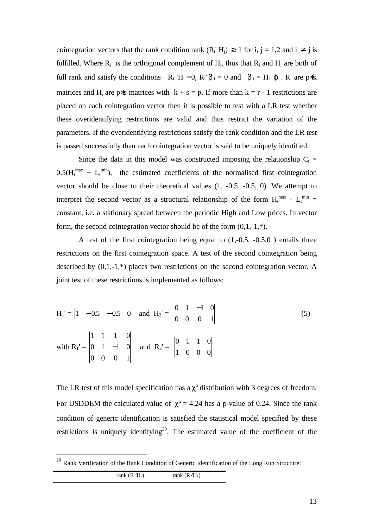cointegration vectors that the rank condition rank  $(R_i^H_i) \ge 1$  for i,  $j = 1,2$  and  $i \ne j$  is fulfilled. Where  $R_i$  is the orthogonal complement of  $H_i$ , thus that  $R_i$  and  $H_i$  are both of full rank and satisfy the conditions  $R_i$  'H<sub>i</sub> =0,  $R_i$ 'b<sub>i</sub> = 0 and b<sub>i</sub> = H<sub>i</sub>  $\varphi_i$ .  $R_i$  are p\*k matrices and H<sub>i</sub> are p∗s matrices with  $k + s = p$ . If more than  $k = r - 1$  restrictions are placed on each cointegration vector then it is possible to test with a LR test whether these overidentifying restrictions are valid and thus restrict the variation of the parameters. If the overidentifying restrictions satisfy the rank condition and the LR test is passed successfully than each cointegration vector is said to be uniquely identified.

Since the data in this model was constructed imposing the relationship  $C_t$  =  $0.5(H<sub>t</sub><sup>max</sup> + L<sub>t</sub><sup>min</sup>)$ , the estimated coefficients of the normalised first cointegration vector should be close to their theoretical values  $(1, -0.5, -0.5, 0)$ . We attempt to interpret the second vector as a structural relationship of the form  $H_t^{max}$  -  $L_t^{min}$  = constant, i.e. a stationary spread between the periodic High and Low prices. In vector form, the second cointegration vector should be of the form  $(0,1,-1,*)$ .

A test of the first cointegration being equal to (1,-0.5, -0.5,0 ) entails three restrictions on the first cointegration space. A test of the second cointegration being described by (0,1,-1,\*) places two restrictions on the second cointegration vector. A joint test of these restrictions is implemented as follows:

$$
H_1' = \begin{vmatrix} 1 & -0.5 & -0.5 & 0 \end{vmatrix} \text{ and } H_2' = \begin{vmatrix} 0 & 1 & -1 & 0 \ 0 & 0 & 0 & 1 \end{vmatrix}
$$
  
with  $R_1' = \begin{vmatrix} 1 & 1 & 1 & 0 \ 0 & 1 & -1 & 0 \ 0 & 0 & 0 & 1 \end{vmatrix}$  and  $R_2' = \begin{vmatrix} 0 & 1 & 1 & 0 \ 1 & 0 & 0 & 0 \end{vmatrix}$  (5)

The LR test of this model specification has  $a \chi^2$  distribution with 3 degrees of freedom. For USDDEM the calculated value of  $\chi^2$  = 4.24 has a p-value of 0.24. Since the rank condition of generic identification is satisfied the statistical model specified by these restrictions is uniquely identifying<sup>20</sup>. The estimated value of the coefficient of the

rank  $(R_1'H_2)$  rank  $(R_2'H_1)$ 

<sup>&</sup>lt;sup>20</sup> Rank Verification of the Rank Condition of Generic Identification of the Long Run Structure: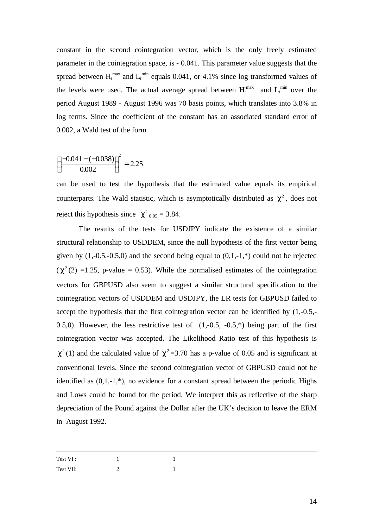constant in the second cointegration vector, which is the only freely estimated parameter in the cointegration space, is - 0.041. This parameter value suggests that the spread between  $H_t^{\text{max}}$  and  $L_t^{\text{min}}$  equals 0.041, or 4.1% since log transformed values of the levels were used. The actual average spread between  $H_t^{\text{max}}$  and  $L_t^{\text{min}}$  over the period August 1989 - August 1996 was 70 basis points, which translates into 3.8% in log terms. Since the coefficient of the constant has an associated standard error of 0.002, a Wald test of the form

$$
\left(\frac{-0.041 - (-0.038)}{0.002}\right)^2 = 2.25
$$

can be used to test the hypothesis that the estimated value equals its empirical counterparts. The Wald statistic, which is asymptotically distributed as  $\chi^2$ , does not reject this hypothesis since  $\chi^2_{0.95} = 3.84$ .

The results of the tests for USDJPY indicate the existence of a similar structural relationship to USDDEM, since the null hypothesis of the first vector being given by  $(1,-0.5,-0.5,0)$  and the second being equal to  $(0,1,-1,*)$  could not be rejected  $(\chi^2(2) = 1.25, \text{ p-value } = 0.53)$ . While the normalised estimates of the cointegration vectors for GBPUSD also seem to suggest a similar structural specification to the cointegration vectors of USDDEM and USDJPY, the LR tests for GBPUSD failed to accept the hypothesis that the first cointegration vector can be identified by (1,-0.5,- 0.5,0). However, the less restrictive test of  $(1,-0.5, -0.5, *)$  being part of the first cointegration vector was accepted. The Likelihood Ratio test of this hypothesis is  $\chi^2$ (1) and the calculated value of  $\chi^2$  =3.70 has a p-value of 0.05 and is significant at conventional levels. Since the second cointegration vector of GBPUSD could not be identified as  $(0,1,-1,*)$ , no evidence for a constant spread between the periodic Highs and Lows could be found for the period. We interpret this as reflective of the sharp depreciation of the Pound against the Dollar after the UK's decision to leave the ERM in August 1992.

| Test VI:  |   |  |
|-----------|---|--|
| Test VII: | - |  |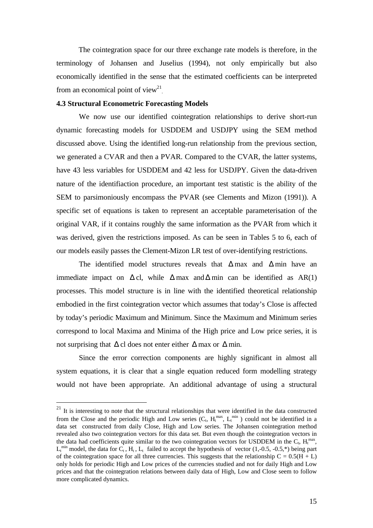The cointegration space for our three exchange rate models is therefore, in the terminology of Johansen and Juselius (1994), not only empirically but also economically identified in the sense that the estimated coefficients can be interpreted from an economical point of view<sup>21</sup>.

### **4.3 Structural Econometric Forecasting Models**

 $\overline{a}$ 

We now use our identified cointegration relationships to derive short-run dynamic forecasting models for USDDEM and USDJPY using the SEM method discussed above. Using the identified long-run relationship from the previous section, we generated a CVAR and then a PVAR. Compared to the CVAR, the latter systems, have 43 less variables for USDDEM and 42 less for USDJPY. Given the data-driven nature of the identifiaction procedure, an important test statistic is the ability of the SEM to parsimoniously encompass the PVAR (see Clements and Mizon (1991)). A specific set of equations is taken to represent an acceptable parameterisation of the original VAR, if it contains roughly the same information as the PVAR from which it was derived, given the restrictions imposed. As can be seen in Tables 5 to 6, each of our models easily passes the Clement-Mizon LR test of over-identifying restrictions.

The identified model structures reveals that  $\Delta$  max and  $\Delta$  min have an immediate impact on  $\Delta$  cl, while  $\Delta$  max and  $\Delta$  min can be identified as AR(1) processes. This model structure is in line with the identified theoretical relationship embodied in the first cointegration vector which assumes that today's Close is affected by today's periodic Maximum and Minimum. Since the Maximum and Minimum series correspond to local Maxima and Minima of the High price and Low price series, it is not surprising that  $\Delta$  cl does not enter either  $\Delta$  max or  $\Delta$  min.

Since the error correction components are highly significant in almost all system equations, it is clear that a single equation reduced form modelling strategy would not have been appropriate. An additional advantage of using a structural

 $21$  It is interesting to note that the structural relationships that were identified in the data constructed from the Close and the periodic High and Low series  $(C_t, H_t^{\text{max}}, L_t^{\text{min}})$  could not be identified in a data set constructed from daily Close, High and Low series. The Johansen cointegration method revealed also two cointegration vectors for this data set. But even though the cointegration vectors in the data had coefficients quite similar to the two cointegration vectors for USDDEM in the  $C_t$ ,  $H_t^{max}$ ,  $L_t^{min}$  model, the data for  $C_t$ ,  $H_t$ ,  $L_t$  failed to accept the hypothesis of vector (1,-0.5, -0.5,\*) being part of the cointegration space for all three currencies. This suggests that the relationship  $C = 0.5(H + L)$ only holds for periodic High and Low prices of the currencies studied and not for daily High and Low prices and that the cointegration relations between daily data of High, Low and Close seem to follow more complicated dynamics.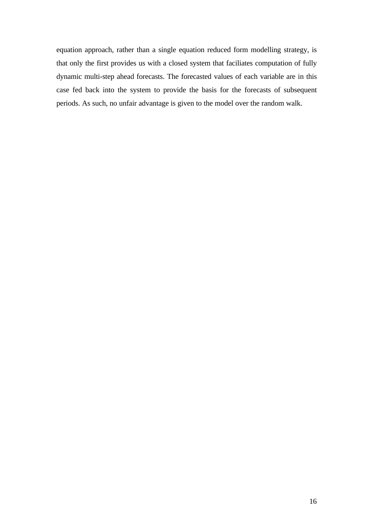equation approach, rather than a single equation reduced form modelling strategy, is that only the first provides us with a closed system that faciliates computation of fully dynamic multi-step ahead forecasts. The forecasted values of each variable are in this case fed back into the system to provide the basis for the forecasts of subsequent periods. As such, no unfair advantage is given to the model over the random walk.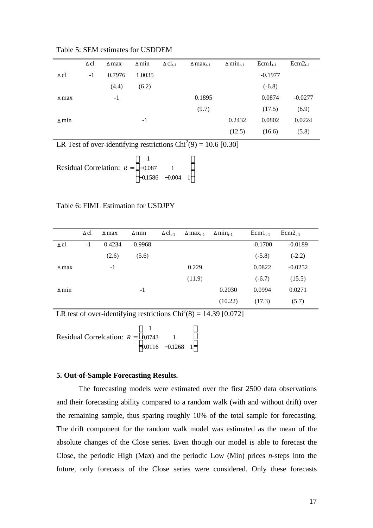|              | Δcl  | $\Delta$ max | $\Delta$ min | $\Delta$ Cl <sub>t-1</sub> | $\Delta$ max <sub>t-1</sub> | $\Delta$ min <sub>t-1</sub> | $Ecm1_{t-1}$ | $Ecm2_{t-1}$ |
|--------------|------|--------------|--------------|----------------------------|-----------------------------|-----------------------------|--------------|--------------|
| $\Delta$ cl  | $-1$ | 0.7976       | 1.0035       |                            |                             |                             | $-0.1977$    |              |
|              |      | (4.4)        | (6.2)        |                            |                             |                             | $(-6.8)$     |              |
| $\Delta$ max |      | $-1$         |              |                            | 0.1895                      |                             | 0.0874       | $-0.0277$    |
|              |      |              |              |                            | (9.7)                       |                             | (17.5)       | (6.9)        |
| $\Delta$ min |      |              | $-1$         |                            |                             | 0.2432                      | 0.0802       | 0.0224       |
|              |      |              |              |                            |                             | (12.5)                      | (16.6)       | (5.8)        |

Table 5: SEM estimates for USDDEM

LR Test of over-identifying restrictions  $Chi^2(9) = 10.6$  [0.30]

Residual Correlation:  $R = \begin{bmatrix} -1 \\ -1 \end{bmatrix}$  $-0.1586 \mathsf{I}$ L  $\mathsf{I}$  $\mathsf{I}$  $\overline{\phantom{a}}$  $\overline{\phantom{a}}$  $\overline{\phantom{a}}$  $\overline{\phantom{a}}$ 1 0.087 1  $0.1586 -0.004$  1 .  $.1586 -0.$ 

### Table 6: FIML Estimation for USDJPY

|              | $\Delta$ cl | $\Delta$ max | $\Delta$ min | $\Delta$ Cl <sub>t-1</sub> | $\Delta$ max <sub>t-1</sub> | $\Delta$ min <sub>t-1</sub> | $Ecm1_{t-1}$ | $Ecm2_{t-1}$ |
|--------------|-------------|--------------|--------------|----------------------------|-----------------------------|-----------------------------|--------------|--------------|
| $\Delta$ cl  | $-1$        | 0.4234       | 0.9968       |                            |                             |                             | $-0.1700$    | $-0.0189$    |
|              |             | (2.6)        | (5.6)        |                            |                             |                             | $(-5.8)$     | $(-2.2)$     |
| $\Delta$ max |             | $-1$         |              |                            | 0.229                       |                             | 0.0822       | $-0.0252$    |
|              |             |              |              |                            | (11.9)                      |                             | $(-6.7)$     | (15.5)       |
| $\Delta$ min |             |              | $-1$         |                            |                             | 0.2030                      | 0.0994       | 0.0271       |
|              |             |              |              |                            |                             | (10.22)                     | (17.3)       | (5.7)        |

LR test of over-identifying restrictions  $Chi^2(8) = 14.39$  [0.072]

Residual Correlcation: *R* = −  $\mathsf{I}$ L  $\mathsf{I}$  $\mathsf{I}$  $\overline{\phantom{a}}$ J  $\overline{\phantom{a}}$ I 1 0 0743 1  $0.0116$   $-0.1268$  1 .  $.0116 - 0.$ 

### **5. Out-of-Sample Forecasting Results.**

The forecasting models were estimated over the first 2500 data observations and their forecasting ability compared to a random walk (with and without drift) over the remaining sample, thus sparing roughly 10% of the total sample for forecasting. The drift component for the random walk model was estimated as the mean of the absolute changes of the Close series. Even though our model is able to forecast the Close, the periodic High (Max) and the periodic Low (Min) prices *n*-steps into the future, only forecasts of the Close series were considered. Only these forecasts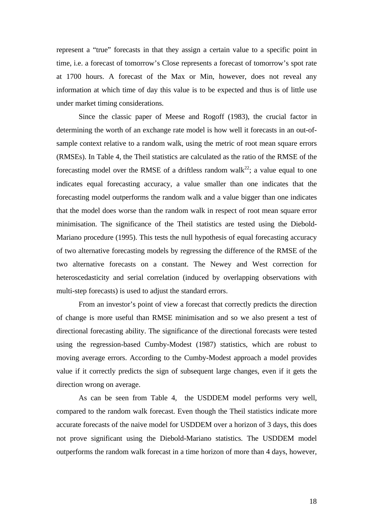represent a "true" forecasts in that they assign a certain value to a specific point in time, i.e. a forecast of tomorrow's Close represents a forecast of tomorrow's spot rate at 1700 hours. A forecast of the Max or Min, however, does not reveal any information at which time of day this value is to be expected and thus is of little use under market timing considerations.

Since the classic paper of Meese and Rogoff (1983), the crucial factor in determining the worth of an exchange rate model is how well it forecasts in an out-ofsample context relative to a random walk, using the metric of root mean square errors (RMSEs). In Table 4, the Theil statistics are calculated as the ratio of the RMSE of the forecasting model over the RMSE of a driftless random walk<sup>22</sup>; a value equal to one indicates equal forecasting accuracy, a value smaller than one indicates that the forecasting model outperforms the random walk and a value bigger than one indicates that the model does worse than the random walk in respect of root mean square error minimisation. The significance of the Theil statistics are tested using the Diebold-Mariano procedure (1995). This tests the null hypothesis of equal forecasting accuracy of two alternative forecasting models by regressing the difference of the RMSE of the two alternative forecasts on a constant. The Newey and West correction for heteroscedasticity and serial correlation (induced by overlapping observations with multi-step forecasts) is used to adjust the standard errors.

From an investor's point of view a forecast that correctly predicts the direction of change is more useful than RMSE minimisation and so we also present a test of directional forecasting ability. The significance of the directional forecasts were tested using the regression-based Cumby-Modest (1987) statistics, which are robust to moving average errors. According to the Cumby-Modest approach a model provides value if it correctly predicts the sign of subsequent large changes, even if it gets the direction wrong on average.

As can be seen from Table 4, the USDDEM model performs very well, compared to the random walk forecast. Even though the Theil statistics indicate more accurate forecasts of the naive model for USDDEM over a horizon of 3 days, this does not prove significant using the Diebold-Mariano statistics. The USDDEM model outperforms the random walk forecast in a time horizon of more than 4 days, however,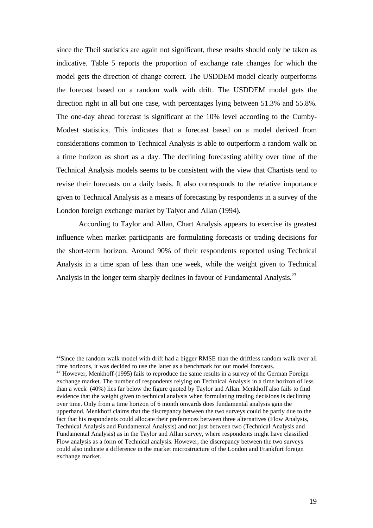since the Theil statistics are again not significant, these results should only be taken as indicative. Table 5 reports the proportion of exchange rate changes for which the model gets the direction of change correct. The USDDEM model clearly outperforms the forecast based on a random walk with drift. The USDDEM model gets the direction right in all but one case, with percentages lying between 51.3% and 55.8%. The one-day ahead forecast is significant at the 10% level according to the Cumby-Modest statistics. This indicates that a forecast based on a model derived from considerations common to Technical Analysis is able to outperform a random walk on a time horizon as short as a day. The declining forecasting ability over time of the Technical Analysis models seems to be consistent with the view that Chartists tend to revise their forecasts on a daily basis. It also corresponds to the relative importance given to Technical Analysis as a means of forecasting by respondents in a survey of the London foreign exchange market by Talyor and Allan (1994).

According to Taylor and Allan, Chart Analysis appears to exercise its greatest influence when market participants are formulating forecasts or trading decisions for the short-term horizon. Around 90% of their respondents reported using Technical Analysis in a time span of less than one week, while the weight given to Technical Analysis in the longer term sharply declines in favour of Fundamental Analysis.<sup>23</sup>

 $^{22}$ Since the random walk model with drift had a bigger RMSE than the driftless random walk over all time horizons, it was decided to use the latter as a benchmark for our model forecasts.

 $23$  However, Menkhoff (1995) fails to reproduce the same results in a survey of the German Foreign exchange market. The number of respondents relying on Technical Analysis in a time horizon of less than a week (40%) lies far below the figure quoted by Taylor and Allan. Menkhoff also fails to find evidence that the weight given to technical analysis when formulating trading decisions is declining over time. Only from a time horizon of 6 month onwards does fundamental analysis gain the upperhand. Menkhoff claims that the discrepancy between the two surveys could be partly due to the fact that his respondents could allocate their preferences between three alternatives (Flow Analysis, Technical Analysis and Fundamental Analysis) and not just between two (Technical Analysis and Fundamental Analysis) as in the Taylor and Allan survey, where respondents might have classified Flow analysis as a form of Technical analysis. However, the discrepancy between the two surveys could also indicate a difference in the market microstructure of the London and Frankfurt foreign exchange market.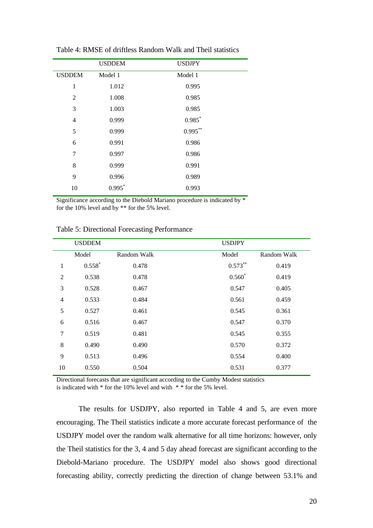|                | <b>USDDEM</b> | <b>USDJPY</b> |
|----------------|---------------|---------------|
| <b>USDDEM</b>  | Model 1       | Model 1       |
| 1              | 1.012         | 0.995         |
| 2              | 1.008         | 0.985         |
| 3              | 1.003         | 0.985         |
| $\overline{4}$ | 0.999         | $0.985$ *     |
| 5              | 0.999         | $0.995***$    |
| 6              | 0.991         | 0.986         |
| 7              | 0.997         | 0.986         |
| 8              | 0.999         | 0.991         |
| 9              | 0.996         | 0.989         |
| 10             | $0.995$ *     | 0.993         |
|                |               |               |

Table 4: RMSE of driftless Random Walk and Theil statistics

Significance according to the Diebold Mariano procedure is indicated by \* for the 10% level and by \*\* for the 5% level.

|                | <b>USDDEM</b> |             | <b>USDJPY</b> |             |
|----------------|---------------|-------------|---------------|-------------|
|                | Model         | Random Walk | Model         | Random Walk |
| 1              | $0.558*$      | 0.478       | $0.573***$    | 0.419       |
| $\overline{2}$ | 0.538         | 0.478       | $0.560*$      | 0.419       |
| 3              | 0.528         | 0.467       | 0.547         | 0.405       |
| $\overline{4}$ | 0.533         | 0.484       | 0.561         | 0.459       |
| 5              | 0.527         | 0.461       | 0.545         | 0.361       |
| 6              | 0.516         | 0.467       | 0.547         | 0.370       |
| $\overline{7}$ | 0.519         | 0.481       | 0.545         | 0.355       |
| 8              | 0.490         | 0.490       | 0.570         | 0.372       |
| 9              | 0.513         | 0.496       | 0.554         | 0.400       |
| 10             | 0.550         | 0.504       | 0.531         | 0.377       |

Table 5: Directional Forecasting Performance

Directional forecasts that are significant according to the Cumby Modest statistics

is indicated with \* for the 10% level and with \* \* for the 5% level.

The results for USDJPY, also reported in Table 4 and 5, are even more encouraging. The Theil statistics indicate a more accurate forecast performance of the USDJPY model over the random walk alternative for all time horizons: however, only the Theil statistics for the 3, 4 and 5 day ahead forecast are significant according to the Diebold-Mariano procedure. The USDJPY model also shows good directional forecasting ability, correctly predicting the direction of change between 53.1% and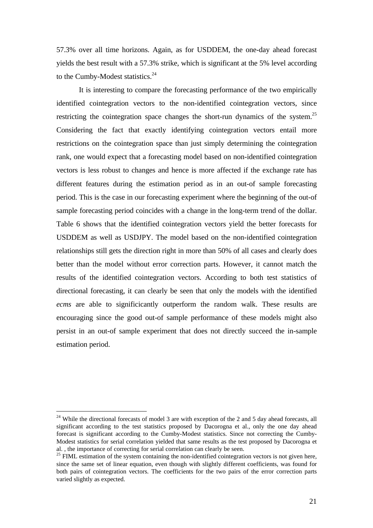57.3% over all time horizons. Again, as for USDDEM, the one-day ahead forecast yields the best result with a 57.3% strike, which is significant at the 5% level according to the Cumby-Modest statistics.<sup>24</sup>

It is interesting to compare the forecasting performance of the two empirically identified cointegration vectors to the non-identified cointegration vectors, since restricting the cointegration space changes the short-run dynamics of the system.<sup>25</sup> Considering the fact that exactly identifying cointegration vectors entail more restrictions on the cointegration space than just simply determining the cointegration rank, one would expect that a forecasting model based on non-identified cointegration vectors is less robust to changes and hence is more affected if the exchange rate has different features during the estimation period as in an out-of sample forecasting period. This is the case in our forecasting experiment where the beginning of the out-of sample forecasting period coincides with a change in the long-term trend of the dollar. Table 6 shows that the identified cointegration vectors yield the better forecasts for USDDEM as well as USDJPY. The model based on the non-identified cointegration relationships still gets the direction right in more than 50% of all cases and clearly does better than the model without error correction parts. However, it cannot match the results of the identified cointegration vectors. According to both test statistics of directional forecasting, it can clearly be seen that only the models with the identified *ecms* are able to significicantly outperform the random walk. These results are encouraging since the good out-of sample performance of these models might also persist in an out-of sample experiment that does not directly succeed the in-sample estimation period.

 $24$  While the directional forecasts of model 3 are with exception of the 2 and 5 day ahead forecasts, all significant according to the test statistics proposed by Dacorogna et al., only the one day ahead forecast is significant according to the Cumby-Modest statistics. Since not correcting the Cumby-Modest statistics for serial correlation yielded that same results as the test proposed by Dacorogna et al. , the importance of correcting for serial correlation can clearly be seen.

 $^{25}$  FIML estimation of the system containing the non-identified cointegration vectors is not given here, since the same set of linear equation, even though with slightly different coefficients, was found for both pairs of cointegration vectors. The coefficients for the two pairs of the error correction parts varied slightly as expected.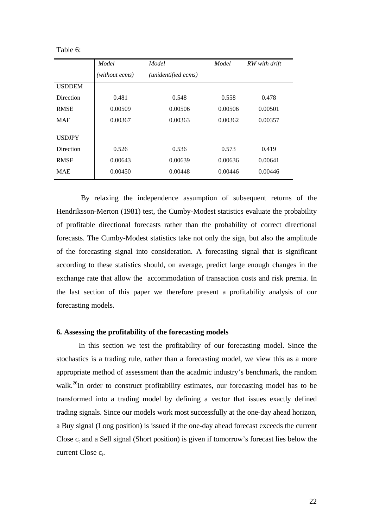| Table 6: |  |
|----------|--|
|----------|--|

|                  | Model          | Model               | Model   | RW with drift |
|------------------|----------------|---------------------|---------|---------------|
|                  | (without ecms) | (unidentified ecms) |         |               |
| <b>USDDEM</b>    |                |                     |         |               |
| Direction        | 0.481          | 0.548               | 0.558   | 0.478         |
| <b>RMSE</b>      | 0.00509        | 0.00506             | 0.00506 | 0.00501       |
| <b>MAE</b>       | 0.00367        | 0.00363             | 0.00362 | 0.00357       |
| <b>USDJPY</b>    |                |                     |         |               |
| <b>Direction</b> | 0.526          | 0.536               | 0.573   | 0.419         |
| <b>RMSE</b>      | 0.00643        | 0.00639             | 0.00636 | 0.00641       |
| <b>MAE</b>       | 0.00450        | 0.00448             | 0.00446 | 0.00446       |

 By relaxing the independence assumption of subsequent returns of the Hendriksson-Merton (1981) test, the Cumby-Modest statistics evaluate the probability of profitable directional forecasts rather than the probability of correct directional forecasts. The Cumby-Modest statistics take not only the sign, but also the amplitude of the forecasting signal into consideration. A forecasting signal that is significant according to these statistics should, on average, predict large enough changes in the exchange rate that allow the accommodation of transaction costs and risk premia. In the last section of this paper we therefore present a profitability analysis of our forecasting models.

### **6. Assessing the profitability of the forecasting models**

In this section we test the profitability of our forecasting model. Since the stochastics is a trading rule, rather than a forecasting model, we view this as a more appropriate method of assessment than the acadmic industry's benchmark, the random walk.<sup>26</sup>In order to construct profitability estimates, our forecasting model has to be transformed into a trading model by defining a vector that issues exactly defined trading signals. Since our models work most successfully at the one-day ahead horizon, a Buy signal (Long position) is issued if the one-day ahead forecast exceeds the current Close  $c_t$  and a Sell signal (Short position) is given if tomorrow's forecast lies below the current Close  $c_t$ .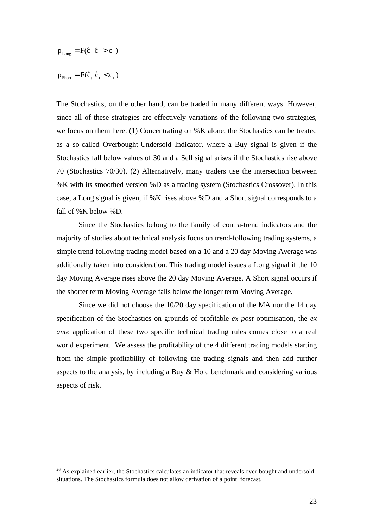$$
p_{\text{Long}} = F(\hat{c}_t | \hat{c}_t > c_t)
$$
  

$$
p_{\text{Short}} = F(\hat{c}_t | \hat{c}_t < c_t)
$$

 $\overline{a}$ 

The Stochastics, on the other hand, can be traded in many different ways. However, since all of these strategies are effectively variations of the following two strategies, we focus on them here. (1) Concentrating on %K alone, the Stochastics can be treated as a so-called Overbought-Undersold Indicator, where a Buy signal is given if the Stochastics fall below values of 30 and a Sell signal arises if the Stochastics rise above 70 (Stochastics 70/30). (2) Alternatively, many traders use the intersection between %K with its smoothed version %D as a trading system (Stochastics Crossover). In this case, a Long signal is given, if %K rises above %D and a Short signal corresponds to a fall of %K below %D.

Since the Stochastics belong to the family of contra-trend indicators and the majority of studies about technical analysis focus on trend-following trading systems, a simple trend-following trading model based on a 10 and a 20 day Moving Average was additionally taken into consideration. This trading model issues a Long signal if the 10 day Moving Average rises above the 20 day Moving Average. A Short signal occurs if the shorter term Moving Average falls below the longer term Moving Average.

Since we did not choose the 10/20 day specification of the MA nor the 14 day specification of the Stochastics on grounds of profitable *ex post* optimisation, the *ex ante* application of these two specific technical trading rules comes close to a real world experiment. We assess the profitability of the 4 different trading models starting from the simple profitability of following the trading signals and then add further aspects to the analysis, by including a Buy & Hold benchmark and considering various aspects of risk.

 $26$  As explained earlier, the Stochastics calculates an indicator that reveals over-bought and undersold situations. The Stochastics formula does not allow derivation of a point forecast.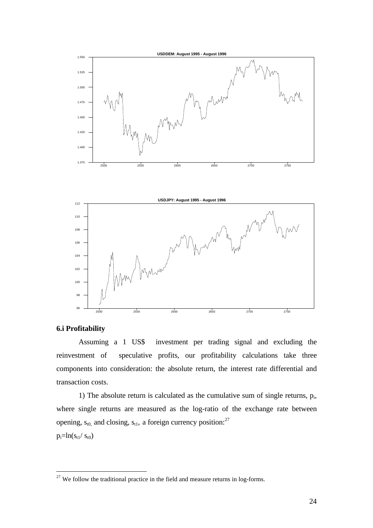

### **6.i Profitability**

 $\overline{a}$ 

Assuming a 1 US\$ investment per trading signal and excluding the reinvestment of speculative profits, our profitability calculations take three components into consideration: the absolute return, the interest rate differential and transaction costs.

1) The absolute return is calculated as the cumulative sum of single returns,  $p_i$ , where single returns are measured as the log-ratio of the exchange rate between opening,  $s_{t0}$  and closing,  $s_{t1}$ , a foreign currency position:<sup>27</sup>  $p_i=ln(s_{t1}/s_{t0})$ 

 $27$  We follow the traditional practice in the field and measure returns in log-forms.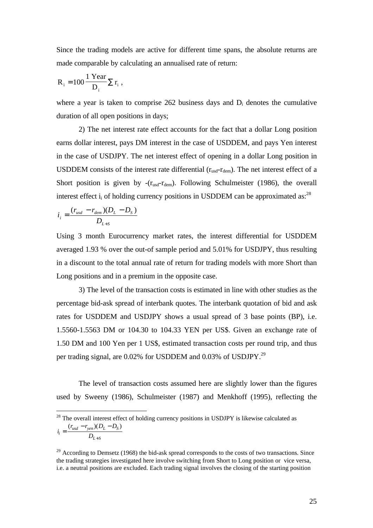Since the trading models are active for different time spans, the absolute returns are made comparable by calculating an annualised rate of return:

$$
R_i = 100 \frac{1 \text{ Year}}{D_i} \sum r_i ,
$$

where a year is taken to comprise  $262$  business days and  $D_i$  denotes the cumulative duration of all open positions in days;

2) The net interest rate effect accounts for the fact that a dollar Long position earns dollar interest, pays DM interest in the case of USDDEM, and pays Yen interest in the case of USDJPY. The net interest effect of opening in a dollar Long position in USDDEM consists of the interest rate differential  $(r_{usd}-r_{dem})$ . The net interest effect of a Short position is given by  $-(r_{\text{usd}}-r_{\text{dem}})$ . Following Schulmeister (1986), the overall interest effect  $i_i$  of holding currency positions in USDDEM can be approximated as:<sup>28</sup>

$$
i_i = \frac{(r_{usd} - r_{dem})(D_L - D_S)}{D_{L+S}}
$$

*L S*

+

Using 3 month Eurocurrency market rates, the interest differential for USDDEM averaged 1.93 % over the out-of sample period and 5.01% for USDJPY, thus resulting in a discount to the total annual rate of return for trading models with more Short than Long positions and in a premium in the opposite case.

3) The level of the transaction costs is estimated in line with other studies as the percentage bid-ask spread of interbank quotes. The interbank quotation of bid and ask rates for USDDEM and USDJPY shows a usual spread of 3 base points (BP), i.e. 1.5560-1.5563 DM or 104.30 to 104.33 YEN per US\$. Given an exchange rate of 1.50 DM and 100 Yen per 1 US\$, estimated transaction costs per round trip, and thus per trading signal, are 0.02% for USDDEM and 0.03% of USDJPY.<sup>29</sup>

The level of transaction costs assumed here are slightly lower than the figures used by Sweeny (1986), Schulmeister (1987) and Menkhoff (1995), reflecting the

 $\overline{a}$  $2<sup>28</sup>$  The overall interest effect of holding currency positions in USDJPY is likewise calculated as  $i_i = \frac{(r_{usd} - r_{yen})(D_L - D)}{T}$  $E_i = \frac{(V_{usd} - V_{yen})(D_L - D_S)}{D_{L+S}}$  $=\frac{(r_{usd} - r_{yen})(D_L (r_{usd} - r_{ven}) (D_L - D_S)$ 

<sup>&</sup>lt;sup>29</sup> According to Demsetz (1968) the bid-ask spread corresponds to the costs of two transactions. Since the trading strategies investigated here involve switching from Short to Long position or vice versa, i.e. a neutral positions are excluded. Each trading signal involves the closing of the starting position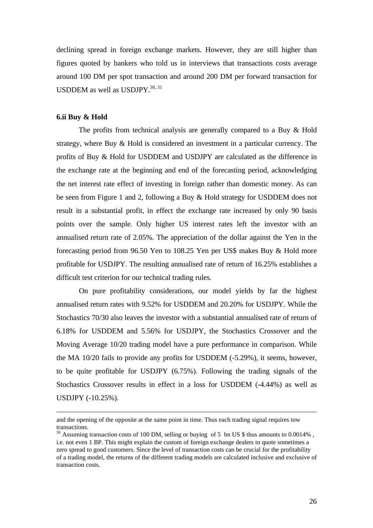declining spread in foreign exchange markets. However, they are still higher than figures quoted by bankers who told us in interviews that transactions costs average around 100 DM per spot transaction and around 200 DM per forward transaction for USDDEM as well as USDJPY.<sup>30, 31</sup>

### **6.ii Buy & Hold**

 $\overline{a}$ 

The profits from technical analysis are generally compared to a Buy & Hold strategy, where Buy & Hold is considered an investment in a particular currency. The profits of Buy & Hold for USDDEM and USDJPY are calculated as the difference in the exchange rate at the beginning and end of the forecasting period, acknowledging the net interest rate effect of investing in foreign rather than domestic money. As can be seen from Figure 1 and 2, following a Buy & Hold strategy for USDDEM does not result in a substantial profit, in effect the exchange rate increased by only 90 basis points over the sample. Only higher US interest rates left the investor with an annualised return rate of 2.05%. The appreciation of the dollar against the Yen in the forecasting period from 96.50 Yen to 108.25 Yen per US\$ makes Buy & Hold more profitable for USDJPY. The resulting annualised rate of return of 16.25% establishes a difficult test criterion for our technical trading rules.

On pure profitability considerations, our model yields by far the highest annualised return rates with 9.52% for USDDEM and 20.20% for USDJPY. While the Stochastics 70/30 also leaves the investor with a substantial annualised rate of return of 6.18% for USDDEM and 5.56% for USDJPY, the Stochastics Crossover and the Moving Average 10/20 trading model have a pure performance in comparison. While the MA 10/20 fails to provide any profits for USDDEM (-5.29%), it seems, however, to be quite profitable for USDJPY (6.75%). Following the trading signals of the Stochastics Crossover results in effect in a loss for USDDEM (-4.44%) as well as USDJPY (-10.25%).

and the opening of the opposite at the same point in time. Thus each trading signal requires tow transactions.

<sup>&</sup>lt;sup>30</sup> Assuming transaction costs of 100 DM, selling or buying of 5 bn US \$ thus amounts to 0.0014%, i.e. not even 1 BP. This might explain the custom of foreign exchange dealers to quote sometimes a zero spread to good customers. Since the level of transaction costs can be crucial for the profitability of a trading model, the returns of the different trading models are calculated inclusive and exclusive of transaction costs.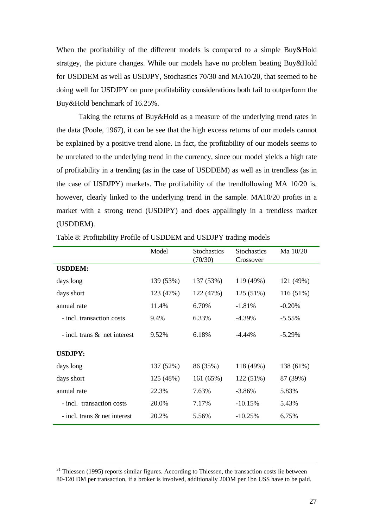When the profitability of the different models is compared to a simple Buy&Hold stratgey, the picture changes. While our models have no problem beating Buy&Hold for USDDEM as well as USDJPY, Stochastics 70/30 and MA10/20, that seemed to be doing well for USDJPY on pure profitability considerations both fail to outperform the Buy&Hold benchmark of 16.25%.

Taking the returns of Buy&Hold as a measure of the underlying trend rates in the data (Poole, 1967), it can be see that the high excess returns of our models cannot be explained by a positive trend alone. In fact, the profitability of our models seems to be unrelated to the underlying trend in the currency, since our model yields a high rate of profitability in a trending (as in the case of USDDEM) as well as in trendless (as in the case of USDJPY) markets. The profitability of the trendfollowing MA 10/20 is, however, clearly linked to the underlying trend in the sample. MA10/20 profits in a market with a strong trend (USDJPY) and does appallingly in a trendless market (USDDEM).

|                                 | Model     | <b>Stochastics</b><br>(70/30) | <b>Stochastics</b><br>Crossover | Ma 10/20  |
|---------------------------------|-----------|-------------------------------|---------------------------------|-----------|
| <b>USDDEM:</b>                  |           |                               |                                 |           |
| days long                       | 139 (53%) | 137 (53%)                     | 119 (49%)                       | 121 (49%) |
| days short                      | 123 (47%) | 122 (47%)                     | 125 (51%)                       | 116(51%)  |
| annual rate                     | 11.4%     | 6.70%                         | $-1.81%$                        | $-0.20%$  |
| - incl. transaction costs       | 9.4%      | 6.33%                         | $-4.39\%$                       | $-5.55%$  |
| - incl. trans $\&$ net interest | 9.52%     | 6.18%                         | $-4.44\%$                       | $-5.29%$  |
| <b>USDJPY:</b>                  |           |                               |                                 |           |
| days long                       | 137 (52%) | 86 (35%)                      | 118 (49%)                       | 138 (61%) |
| days short                      | 125 (48%) | 161 (65%)                     | 122 (51%)                       | 87 (39%)  |
| annual rate                     | 22.3%     | 7.63%                         | $-3.86\%$                       | 5.83%     |
| - incl. transaction costs       | 20.0%     | 7.17%                         | $-10.15%$                       | 5.43%     |
| - incl. trans $\&$ net interest | 20.2%     | 5.56%                         | $-10.25%$                       | 6.75%     |

Table 8: Profitability Profile of USDDEM and USDJPY trading models

 $31$  Thiessen (1995) reports similar figures. According to Thiessen, the transaction costs lie between 80-120 DM per transaction, if a broker is involved, additionally 20DM per 1bn US\$ have to be paid.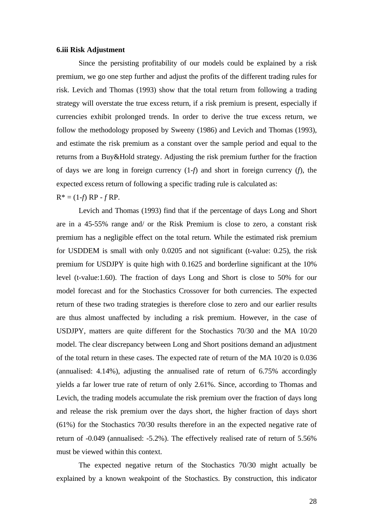### **6.iii Risk Adjustment**

Since the persisting profitability of our models could be explained by a risk premium, we go one step further and adjust the profits of the different trading rules for risk. Levich and Thomas (1993) show that the total return from following a trading strategy will overstate the true excess return, if a risk premium is present, especially if currencies exhibit prolonged trends. In order to derive the true excess return, we follow the methodology proposed by Sweeny (1986) and Levich and Thomas (1993), and estimate the risk premium as a constant over the sample period and equal to the returns from a Buy&Hold strategy. Adjusting the risk premium further for the fraction of days we are long in foreign currency (1-*f*) and short in foreign currency (*f*), the expected excess return of following a specific trading rule is calculated as:

 $R^* = (1-f) RP - fRP$ .

Levich and Thomas (1993) find that if the percentage of days Long and Short are in a 45-55% range and/ or the Risk Premium is close to zero, a constant risk premium has a negligible effect on the total return. While the estimated risk premium for USDDEM is small with only 0.0205 and not significant (t-value: 0.25), the risk premium for USDJPY is quite high with 0.1625 and borderline significant at the 10% level (t-value:1.60). The fraction of days Long and Short is close to 50% for our model forecast and for the Stochastics Crossover for both currencies. The expected return of these two trading strategies is therefore close to zero and our earlier results are thus almost unaffected by including a risk premium. However, in the case of USDJPY, matters are quite different for the Stochastics 70/30 and the MA 10/20 model. The clear discrepancy between Long and Short positions demand an adjustment of the total return in these cases. The expected rate of return of the MA 10/20 is 0.036 (annualised: 4.14%), adjusting the annualised rate of return of 6.75% accordingly yields a far lower true rate of return of only 2.61%. Since, according to Thomas and Levich, the trading models accumulate the risk premium over the fraction of days long and release the risk premium over the days short, the higher fraction of days short (61%) for the Stochastics 70/30 results therefore in an the expected negative rate of return of -0.049 (annualised: -5.2%). The effectively realised rate of return of 5.56% must be viewed within this context.

The expected negative return of the Stochastics 70/30 might actually be explained by a known weakpoint of the Stochastics. By construction, this indicator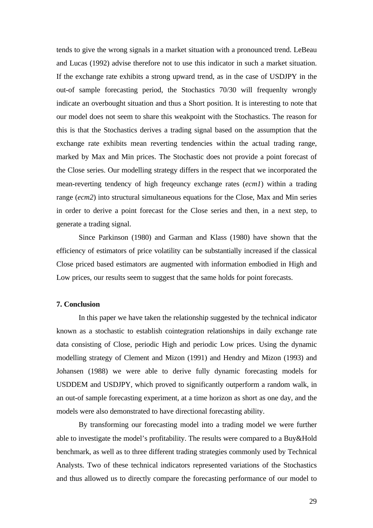tends to give the wrong signals in a market situation with a pronounced trend. LeBeau and Lucas (1992) advise therefore not to use this indicator in such a market situation. If the exchange rate exhibits a strong upward trend, as in the case of USDJPY in the out-of sample forecasting period, the Stochastics 70/30 will frequenlty wrongly indicate an overbought situation and thus a Short position. It is interesting to note that our model does not seem to share this weakpoint with the Stochastics. The reason for this is that the Stochastics derives a trading signal based on the assumption that the exchange rate exhibits mean reverting tendencies within the actual trading range, marked by Max and Min prices. The Stochastic does not provide a point forecast of the Close series. Our modelling strategy differs in the respect that we incorporated the mean-reverting tendency of high freqeuncy exchange rates (*ecm1*) within a trading range (*ecm2*) into structural simultaneous equations for the Close, Max and Min series in order to derive a point forecast for the Close series and then, in a next step, to generate a trading signal.

Since Parkinson (1980) and Garman and Klass (1980) have shown that the efficiency of estimators of price volatility can be substantially increased if the classical Close priced based estimators are augmented with information embodied in High and Low prices, our results seem to suggest that the same holds for point forecasts.

### **7. Conclusion**

In this paper we have taken the relationship suggested by the technical indicator known as a stochastic to establish cointegration relationships in daily exchange rate data consisting of Close, periodic High and periodic Low prices. Using the dynamic modelling strategy of Clement and Mizon (1991) and Hendry and Mizon (1993) and Johansen (1988) we were able to derive fully dynamic forecasting models for USDDEM and USDJPY, which proved to significantly outperform a random walk, in an out-of sample forecasting experiment, at a time horizon as short as one day, and the models were also demonstrated to have directional forecasting ability.

By transforming our forecasting model into a trading model we were further able to investigate the model's profitability. The results were compared to a Buy&Hold benchmark, as well as to three different trading strategies commonly used by Technical Analysts. Two of these technical indicators represented variations of the Stochastics and thus allowed us to directly compare the forecasting performance of our model to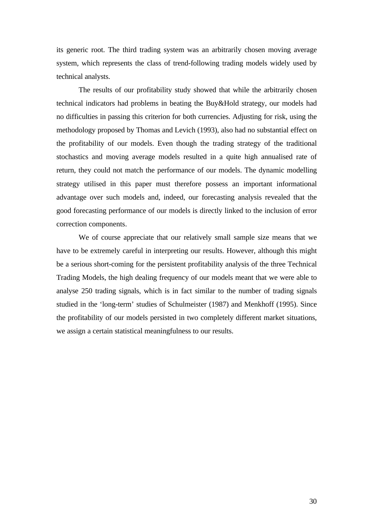its generic root. The third trading system was an arbitrarily chosen moving average system, which represents the class of trend-following trading models widely used by technical analysts.

The results of our profitability study showed that while the arbitrarily chosen technical indicators had problems in beating the Buy&Hold strategy, our models had no difficulties in passing this criterion for both currencies. Adjusting for risk, using the methodology proposed by Thomas and Levich (1993), also had no substantial effect on the profitability of our models. Even though the trading strategy of the traditional stochastics and moving average models resulted in a quite high annualised rate of return, they could not match the performance of our models. The dynamic modelling strategy utilised in this paper must therefore possess an important informational advantage over such models and, indeed, our forecasting analysis revealed that the good forecasting performance of our models is directly linked to the inclusion of error correction components.

We of course appreciate that our relatively small sample size means that we have to be extremely careful in interpreting our results. However, although this might be a serious short-coming for the persistent profitability analysis of the three Technical Trading Models, the high dealing frequency of our models meant that we were able to analyse 250 trading signals, which is in fact similar to the number of trading signals studied in the 'long-term' studies of Schulmeister (1987) and Menkhoff (1995). Since the profitability of our models persisted in two completely different market situations, we assign a certain statistical meaningfulness to our results.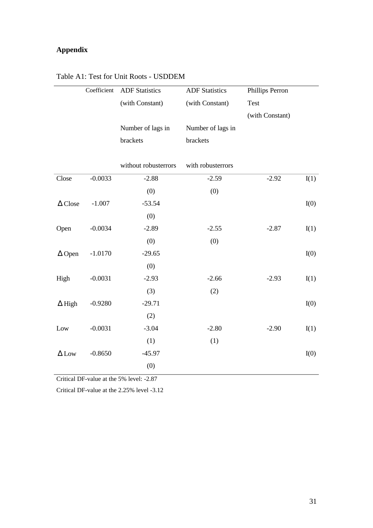# **Appendix**

|                | Coefficient | <b>ADF</b> Statistics | <b>ADF</b> Statistics | Phillips Perron |      |
|----------------|-------------|-----------------------|-----------------------|-----------------|------|
|                |             | (with Constant)       | (with Constant)       | <b>Test</b>     |      |
|                |             |                       |                       | (with Constant) |      |
|                |             | Number of lags in     | Number of lags in     |                 |      |
|                |             | brackets              | brackets              |                 |      |
|                |             |                       |                       |                 |      |
|                |             | without robusterrors  | with robusterrors     |                 |      |
| Close          | $-0.0033$   | $-2.88$               | $-2.59$               | $-2.92$         | I(1) |
|                |             | (0)                   | (0)                   |                 |      |
| $\Delta$ Close | $-1.007$    | $-53.54$              |                       |                 | I(0) |
|                |             | (0)                   |                       |                 |      |
| Open           | $-0.0034$   | $-2.89$               | $-2.55$               | $-2.87$         | I(1) |
|                |             | (0)                   | (0)                   |                 |      |
| $\Delta$ Open  | $-1.0170$   | $-29.65$              |                       |                 | I(0) |
|                |             | (0)                   |                       |                 |      |
| High           | $-0.0031$   | $-2.93$               | $-2.66$               | $-2.93$         | I(1) |
|                |             | (3)                   | (2)                   |                 |      |
| $\Delta$ High  | $-0.9280$   | $-29.71$              |                       |                 | I(0) |
|                |             | (2)                   |                       |                 |      |
| Low            | $-0.0031$   | $-3.04$               | $-2.80$               | $-2.90$         | I(1) |
|                |             | (1)                   | (1)                   |                 |      |
| $\Delta$ Low   | $-0.8650$   | $-45.97$              |                       |                 | I(0) |
|                |             | (0)                   |                       |                 |      |

## Table A1: Test for Unit Roots - USDDEM

Critical DF-value at the 5% level: -2.87

Critical DF-value at the 2.25% level -3.12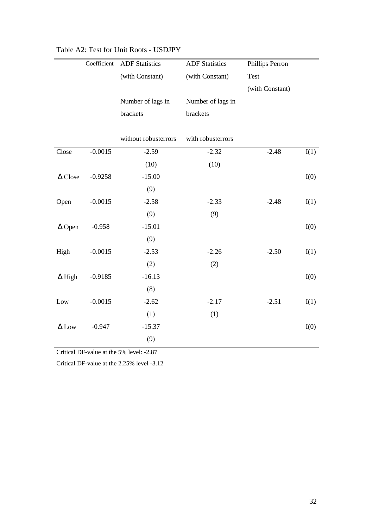|                | Coefficient | <b>ADF</b> Statistics | <b>ADF</b> Statistics | Phillips Perron |      |
|----------------|-------------|-----------------------|-----------------------|-----------------|------|
|                |             | (with Constant)       | (with Constant)       | Test            |      |
|                |             |                       |                       | (with Constant) |      |
|                |             | Number of lags in     | Number of lags in     |                 |      |
|                |             | brackets              | brackets              |                 |      |
|                |             |                       |                       |                 |      |
|                |             | without robusterrors  | with robusterrors     |                 |      |
| Close          | $-0.0015$   | $-2.59$               | $-2.32$               | $-2.48$         | I(1) |
|                |             | (10)                  | (10)                  |                 |      |
| $\Delta$ Close | $-0.9258$   | $-15.00$              |                       |                 | I(0) |
|                |             | (9)                   |                       |                 |      |
| Open           | $-0.0015$   | $-2.58$               | $-2.33$               | $-2.48$         | I(1) |
|                |             | (9)                   | (9)                   |                 |      |
| $\Delta$ Open  | $-0.958$    | $-15.01$              |                       |                 | I(0) |
|                |             | (9)                   |                       |                 |      |
| High           | $-0.0015$   | $-2.53$               | $-2.26$               | $-2.50$         | I(1) |
|                |             | (2)                   | (2)                   |                 |      |
| $\Delta$ High  | $-0.9185$   | $-16.13$              |                       |                 | I(0) |
|                |             | (8)                   |                       |                 |      |
| Low            | $-0.0015$   | $-2.62$               | $-2.17$               | $-2.51$         | I(1) |
|                |             | (1)                   | (1)                   |                 |      |
| $\Delta$ Low   | $-0.947$    | $-15.37$              |                       |                 | I(0) |
|                |             | (9)                   |                       |                 |      |

# Table A2: Test for Unit Roots - USDJPY

Critical DF-value at the 5% level: -2.87

Critical DF-value at the 2.25% level -3.12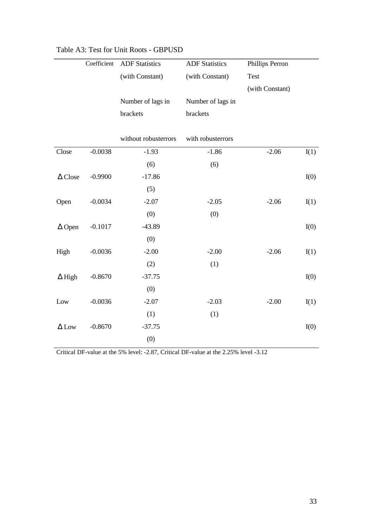|                | Coefficient | <b>ADF Statistics</b> | <b>ADF Statistics</b> | Phillips Perron |      |
|----------------|-------------|-----------------------|-----------------------|-----------------|------|
|                |             | (with Constant)       | (with Constant)       | <b>Test</b>     |      |
|                |             |                       |                       | (with Constant) |      |
|                |             | Number of lags in     | Number of lags in     |                 |      |
|                |             | brackets              | brackets              |                 |      |
|                |             |                       |                       |                 |      |
|                |             | without robusterrors  | with robusterrors     |                 |      |
| Close          | $-0.0038$   | $-1.93$               | $-1.86$               | $-2.06$         | I(1) |
|                |             | (6)                   | (6)                   |                 |      |
| $\Delta$ Close | $-0.9900$   | $-17.86$              |                       |                 | I(0) |
|                |             | (5)                   |                       |                 |      |
| Open           | $-0.0034$   | $-2.07$               | $-2.05$               | $-2.06$         | I(1) |
|                |             | (0)                   | (0)                   |                 |      |
| $\Delta$ Open  | $-0.1017$   | $-43.89$              |                       |                 | I(0) |
|                |             | (0)                   |                       |                 |      |
| High           | $-0.0036$   | $-2.00$               | $-2.00$               | $-2.06$         | I(1) |
|                |             | (2)                   | (1)                   |                 |      |
| $\Delta$ High  | $-0.8670$   | $-37.75$              |                       |                 | I(0) |
|                |             | (0)                   |                       |                 |      |
| Low            | $-0.0036$   | $-2.07$               | $-2.03$               | $-2.00$         | I(1) |
|                |             | (1)                   | (1)                   |                 |      |
| $\Delta$ Low   | $-0.8670$   | $-37.75$              |                       |                 | I(0) |
|                |             | (0)                   |                       |                 |      |

# Table A3: Test for Unit Roots - GBPUSD

Critical DF-value at the 5% level: -2.87, Critical DF-value at the 2.25% level -3.12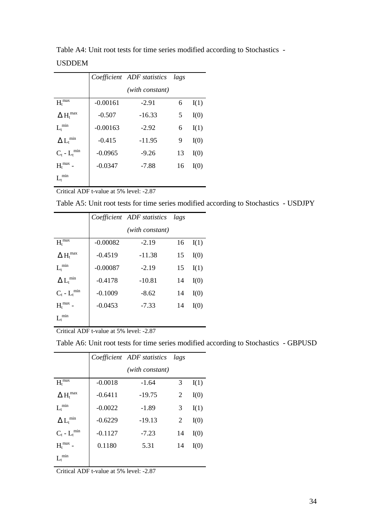|                                         |            | Coefficient ADF statistics | lags |      |
|-----------------------------------------|------------|----------------------------|------|------|
|                                         |            | (with constant)            |      |      |
| $Ht$ <sup>max</sup>                     | $-0.00161$ | $-2.91$                    | 6    | I(1) |
| $\Delta$ $\text{H}_\text{t}^\text{max}$ | $-0.507$   | $-16.33$                   | 5    | I(0) |
| $L_t^{\,\min}$                          | $-0.00163$ | $-2.92$                    | 6    | I(1) |
| $\Delta$ $L_t^{min}$                    | $-0.415$   | $-11.95$                   | 9    | I(0) |
| $C_t$ - $L_t^{\min}$                    | $-0.0965$  | $-9.26$                    | 13   | I(0) |
| ${H_{\rm t}}^{\rm max}$                 | $-0.0347$  | $-7.88$                    | 16   | I(0) |
| min                                     |            |                            |      |      |

Table A4: Unit root tests for time series modified according to Stochastics - USDDEM

Critical ADF t-value at 5% level: -2.87

Table A5: Unit root tests for time series modified according to Stochastics - USDJPY

|                                                               |            | Coefficient ADF statistics | lags |      |
|---------------------------------------------------------------|------------|----------------------------|------|------|
|                                                               |            | (with constant)            |      |      |
| $H_t^{\text{max}}$                                            | $-0.00082$ | $-2.19$                    | 16   | I(1) |
| $\Delta H_t^{\text{max}}$                                     | $-0.4519$  | $-11.38$                   | 15   | I(0) |
| $L_t^{\, \rm min}$                                            | $-0.00087$ | $-2.19$                    | 15   | I(1) |
| $\Delta$ $L_t^{min}$                                          | $-0.4178$  | $-10.81$                   | 14   | I(0) |
| $\mathbf{C}_\text{t}$ - $\mathbf{L}_\text{t}$ $^{\text{min}}$ | $-0.1009$  | $-8.62$                    | 14   | I(0) |
| $Ht$ <sup>max</sup>                                           | $-0.0453$  | $-7.33$                    | 14   | I(0) |
| $L_t^{\,min}$                                                 |            |                            |      |      |

Critical ADF t-value at 5% level: -2.87

Table A6: Unit root tests for time series modified according to Stochastics - GBPUSD

|                                              |           | Coefficient ADF statistics | lags |      |
|----------------------------------------------|-----------|----------------------------|------|------|
|                                              |           | (with constant)            |      |      |
| $H_t^{\,max}$                                | $-0.0018$ | $-1.64$                    | 3    | I(1) |
| $\Delta$ ${H_t}^{max}$                       | $-0.6411$ | $-19.75$                   | 2    | I(0) |
| $L_t^{\, \rm min}$                           | $-0.0022$ | $-1.89$                    | 3    | I(1) |
| $\Delta$ $L_t^{min}$                         | $-0.6229$ | $-19.13$                   | 2    | I(0) |
| $C_t$ - $L_t^{\min}$                         | $-0.1127$ | $-7.23$                    | 14   | I(0) |
| $\mathbf{H}_{\mathrm{t}}^{\ \mathrm{max}}$ - | 0.1180    | 5.31                       | 14   | I(0) |
| $L_t^{\min}$                                 |           |                            |      |      |

Critical ADF t-value at 5% level: -2.87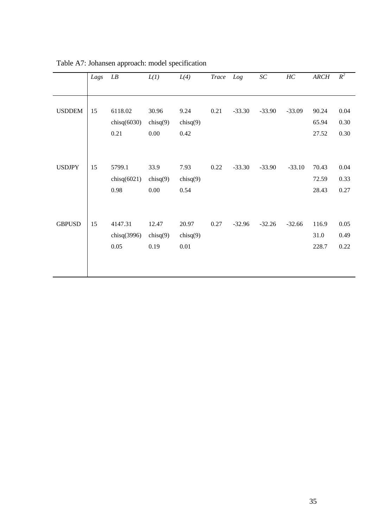|               | Lags | LB                                | L(I)                             | L(4)                        | Trace Log |          | $\cal SC$ | HC       | <b>ARCH</b>             | $R^2$                |
|---------------|------|-----------------------------------|----------------------------------|-----------------------------|-----------|----------|-----------|----------|-------------------------|----------------------|
|               |      |                                   |                                  |                             |           |          |           |          |                         |                      |
| <b>USDDEM</b> | 15   | 6118.02<br>chisq $(6030)$<br>0.21 | 30.96<br>chisq $(9)$<br>$0.00\,$ | 9.24<br>chisq $(9)$<br>0.42 | 0.21      | $-33.30$ | $-33.90$  | $-33.09$ | 90.24<br>65.94<br>27.52 | 0.04<br>0.30<br>0.30 |
| <b>USDJPY</b> | 15   | 5799.1<br>chisq $(6021)$<br>0.98  | 33.9<br>chisq $(9)$<br>$0.00\,$  | 7.93<br>chisq $(9)$<br>0.54 | 0.22      | $-33.30$ | $-33.90$  | $-33.10$ | 70.43<br>72.59<br>28.43 | 0.04<br>0.33<br>0.27 |
| <b>GBPUSD</b> | 15   | 4147.31<br>chisq $(3996)$<br>0.05 | 12.47<br>chisq(9)<br>0.19        | 20.97<br>chisq(9)<br>0.01   | 0.27      | $-32.96$ | $-32.26$  | $-32.66$ | 116.9<br>31.0<br>228.7  | 0.05<br>0.49<br>0.22 |

Table A7: Johansen approach: model specification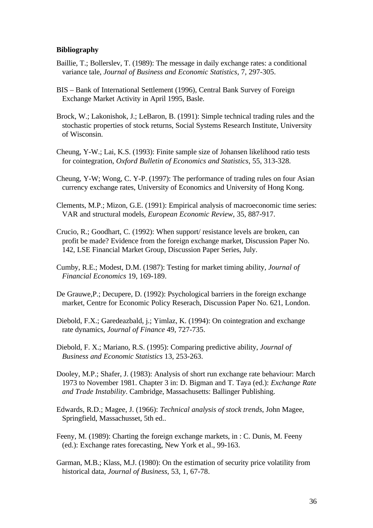### **Bibliography**

- Baillie, T.; Bollerslev, T. (1989): The message in daily exchange rates: a conditional variance tale, *Journal of Business and Economic Statistics*, 7, 297-305.
- BIS Bank of International Settlement (1996), Central Bank Survey of Foreign Exchange Market Activity in April 1995, Basle.
- Brock, W.; Lakonishok, J.; LeBaron, B. (1991): Simple technical trading rules and the stochastic properties of stock returns, Social Systems Research Institute, University of Wisconsin.
- Cheung, Y-W.; Lai, K.S. (1993): Finite sample size of Johansen likelihood ratio tests for cointegration, *Oxford Bulletin of Economics and Statistics*, 55, 313-328.
- Cheung, Y-W; Wong, C. Y-P. (1997): The performance of trading rules on four Asian currency exchange rates, University of Economics and University of Hong Kong.
- Clements, M.P.; Mizon, G.E. (1991): Empirical analysis of macroeconomic time series: VAR and structural models, *European Economic Review*, 35, 887-917.
- Crucio, R.; Goodhart, C. (1992): When support/ resistance levels are broken, can profit be made? Evidence from the foreign exchange market, Discussion Paper No. 142, LSE Financial Market Group, Discussion Paper Series, July.
- Cumby, R.E.; Modest, D.M. (1987): Testing for market timing ability, *Journal of Financial Economics* 19, 169-189.
- De Grauwe,P.; Decupere, D. (1992): Psychological barriers in the foreign exchange market, Centre for Economic Policy Reserach, Discussion Paper No. 621, London.
- Diebold, F.X.; Garedeazbald, j.; Yimlaz, K. (1994): On cointegration and exchange rate dynamics, *Journal of Finance* 49, 727-735.
- Diebold, F. X.; Mariano, R.S. (1995): Comparing predictive ability, *Journal of Business and Economic Statistics* 13, 253-263.
- Dooley, M.P.; Shafer, J. (1983): Analysis of short run exchange rate behaviour: March 1973 to November 1981. Chapter 3 in: D. Bigman and T. Taya (ed.): *Exchange Rate and Trade Instability*. Cambridge, Massachusetts: Ballinger Publishing.
- Edwards, R.D.; Magee, J. (1966): *Technical analysis of stock trends*, John Magee, Springfield, Massachusset, 5th ed..
- Feeny, M. (1989): Charting the foreign exchange markets, in : C. Dunis, M. Feeny (ed.): Exchange rates forecasting, New York et al., 99-163.
- Garman, M.B.; Klass, M.J. (1980): On the estimation of security price volatility from historical data, *Journal of Business*, 53, 1, 67-78.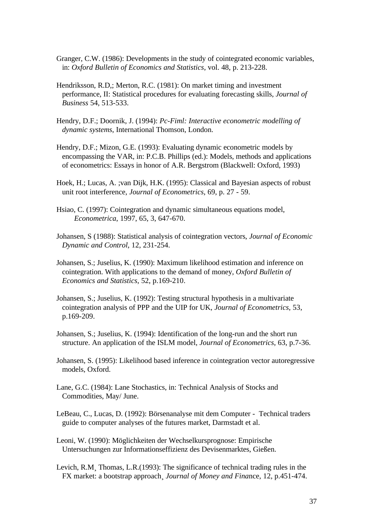- Granger, C.W. (1986): Developments in the study of cointegrated economic variables, in: *Oxford Bulletin of Economics and Statistics*, vol. 48, p. 213-228.
- Hendriksson, R.D,; Merton, R.C. (1981): On market timing and investment performance, II: Statistical procedures for evaluating forecasting skills, *Journal of Business* 54, 513-533.
- Hendry, D.F.; Doornik, J. (1994): *Pc-Fiml: Interactive econometric modelling of dynamic systems*, International Thomson, London.
- Hendry, D.F.; Mizon, G.E. (1993): Evaluating dynamic econometric models by encompassing the VAR, in: P.C.B. Phillips (ed.): Models, methods and applications of econometrics: Essays in honor of A.R. Bergstrom (Blackwell: Oxford, 1993)
- Hoek, H.; Lucas, A. ;van Dijk, H.K. (1995): Classical and Bayesian aspects of robust unit root interference, *Journal of Econometrics*, 69, p. 27 - 59.
- Hsiao, C. (1997): Cointegration and dynamic simultaneous equations model, *Econometrica*, 1997, 65, 3, 647-670.
- Johansen, S (1988): Statistical analysis of cointegration vectors, *Journal of Economic Dynamic and Control*, 12, 231-254.
- Johansen, S.; Juselius, K. (1990): Maximum likelihood estimation and inference on cointegration. With applications to the demand of money, *Oxford Bulletin of Economics and Statistics*, 52, p.169-210.
- Johansen, S.; Juselius, K. (1992): Testing structural hypothesis in a multivariate cointegration analysis of PPP and the UIP for UK, *Journal of Econometrics*, 53, p.169-209.
- Johansen, S.; Juselius, K. (1994): Identification of the long-run and the short run structure. An application of the ISLM model, *Journal of Econometrics*, 63, p.7-36.
- Johansen, S. (1995): Likelihood based inference in cointegration vector autoregressive models, Oxford.
- Lane, G.C. (1984): Lane Stochastics, in: Technical Analysis of Stocks and Commodities, May/ June.
- LeBeau, C., Lucas, D. (1992): Börsenanalyse mit dem Computer Technical traders guide to computer analyses of the futures market, Darmstadt et al.
- Leoni, W. (1990): Möglichkeiten der Wechselkursprognose: Empirische Untersuchungen zur Informationseffizienz des Devisenmarktes, Gießen.
- Levich, R.M¸ Thomas, L.R.(1993): The significance of technical trading rules in the FX market: a bootstrap approach¸ *Journal of Money and Fina*nce, 12, p.451-474.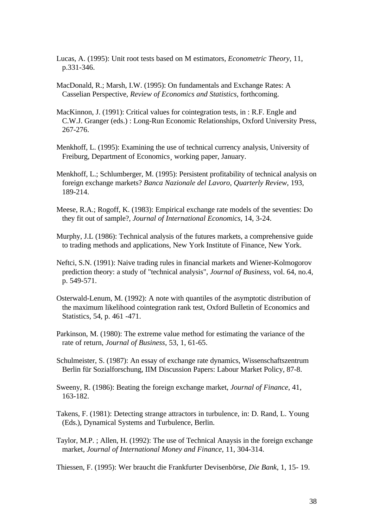- Lucas, A. (1995): Unit root tests based on M estimators, *Econometric Theory*, 11, p.331-346.
- MacDonald, R.; Marsh, I.W. (1995): On fundamentals and Exchange Rates: A Casselian Perspective, *Review of Economics and Statistics*, forthcoming.
- MacKinnon, J. (1991): Critical values for cointegration tests, in : R.F. Engle and C.W.J. Granger (eds.) : Long-Run Economic Relationships, Oxford University Press, 267-276.
- Menkhoff, L. (1995): Examining the use of technical currency analysis, University of Freiburg, Department of Economics¸ working paper, January.
- Menkhoff, L.; Schlumberger, M. (1995): Persistent profitability of technical analysis on foreign exchange markets? *Banca Nazionale del Lavoro, Quarterly Review*, 193, 189-214.
- Meese, R.A.; Rogoff, K. (1983): Empirical exchange rate models of the seventies: Do they fit out of sample?, *Journal of International Economics*, 14, 3-24.
- Murphy, J.L (1986): Technical analysis of the futures markets, a comprehensive guide to trading methods and applications, New York Institute of Finance, New York.
- Neftci, S.N. (1991): Naive trading rules in financial markets and Wiener-Kolmogorov prediction theory: a study of "technical analysis", *Journal of Business*, vol. 64, no.4, p. 549-571.
- Osterwald-Lenum, M. (1992): A note with quantiles of the asymptotic distribution of the maximum likelihood cointegration rank test, Oxford Bulletin of Economics and Statistics, 54, p. 461 -471.
- Parkinson, M. (1980): The extreme value method for estimating the variance of the rate of return, *Journal of Business*, 53, 1, 61-65.
- Schulmeister, S. (1987): An essay of exchange rate dynamics, Wissenschaftszentrum Berlin für Sozialforschung, IIM Discussion Papers: Labour Market Policy, 87-8.
- Sweeny, R. (1986): Beating the foreign exchange market, *Journal of Finance*, 41, 163-182.
- Takens, F. (1981): Detecting strange attractors in turbulence, in: D. Rand, L. Young (Eds.), Dynamical Systems and Turbulence, Berlin.
- Taylor, M.P. ; Allen, H. (1992): The use of Technical Anaysis in the foreign exchange market, *Journal of International Money and Finance*, 11, 304-314.

Thiessen, F. (1995): Wer braucht die Frankfurter Devisenbörse, *Die Bank*, 1, 15- 19.